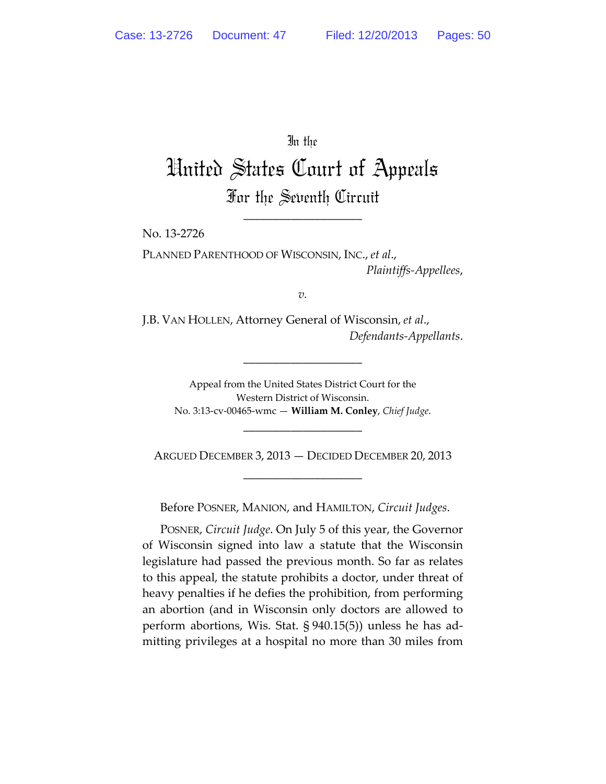In the

United States Court of Appeals For the Seventh Circuit

\_\_\_\_\_\_\_\_\_\_\_\_\_\_\_\_\_\_\_\_

No. 13‐2726

PLANNED PARENTHOOD OF WISCONSIN, INC., *et al*., *Plaintiffs‐Appellees*,

*v.*

J.B. VAN HOLLEN, Attorney General of Wisconsin, *et al*., *Defendants‐Appellants*.

\_\_\_\_\_\_\_\_\_\_\_\_\_\_\_\_\_\_\_\_

Appeal from the United States District Court for the Western District of Wisconsin. No. 3:13‐cv‐00465‐wmc — **William M. Conley**, *Chief Judge*.

ARGUED DECEMBER 3, 2013 — DECIDED DECEMBER 20, 2013 \_\_\_\_\_\_\_\_\_\_\_\_\_\_\_\_\_\_\_\_

\_\_\_\_\_\_\_\_\_\_\_\_\_\_\_\_\_\_\_\_

Before POSNER, MANION, and HAMILTON, *Circuit Judges*.

POSNER, *Circuit Judge*. On July 5 of this year, the Governor of Wisconsin signed into law a statute that the Wisconsin legislature had passed the previous month. So far as relates to this appeal, the statute prohibits a doctor, under threat of heavy penalties if he defies the prohibition, from performing an abortion (and in Wisconsin only doctors are allowed to perform abortions, Wis. Stat. § 940.15(5)) unless he has ad‐ mitting privileges at a hospital no more than 30 miles from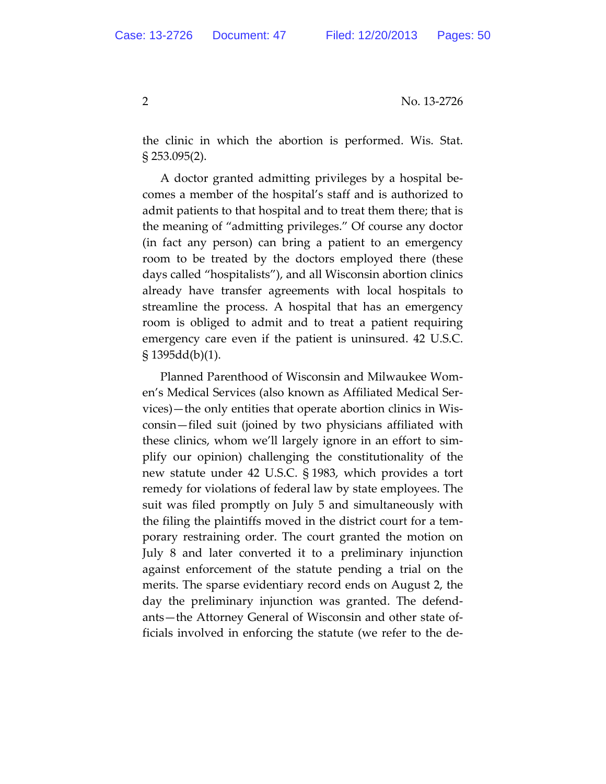the clinic in which the abortion is performed. Wis. Stat. § 253.095(2).

A doctor granted admitting privileges by a hospital be‐ comes a member of the hospital's staff and is authorized to admit patients to that hospital and to treat them there; that is the meaning of "admitting privileges." Of course any doctor (in fact any person) can bring a patient to an emergency room to be treated by the doctors employed there (these days called "hospitalists"), and all Wisconsin abortion clinics already have transfer agreements with local hospitals to streamline the process. A hospital that has an emergency room is obliged to admit and to treat a patient requiring emergency care even if the patient is uninsured. 42 U.S.C.  $\S 1395dd(b)(1)$ .

Planned Parenthood of Wisconsin and Milwaukee Wom‐ en's Medical Services (also known as Affiliated Medical Ser‐ vices)—the only entities that operate abortion clinics in Wis‐ consin—filed suit (joined by two physicians affiliated with these clinics, whom we'll largely ignore in an effort to sim‐ plify our opinion) challenging the constitutionality of the new statute under 42 U.S.C. § 1983, which provides a tort remedy for violations of federal law by state employees. The suit was filed promptly on July 5 and simultaneously with the filing the plaintiffs moved in the district court for a tem‐ porary restraining order. The court granted the motion on July 8 and later converted it to a preliminary injunction against enforcement of the statute pending a trial on the merits. The sparse evidentiary record ends on August 2, the day the preliminary injunction was granted. The defend‐ ants—the Attorney General of Wisconsin and other state of‐ ficials involved in enforcing the statute (we refer to the de‐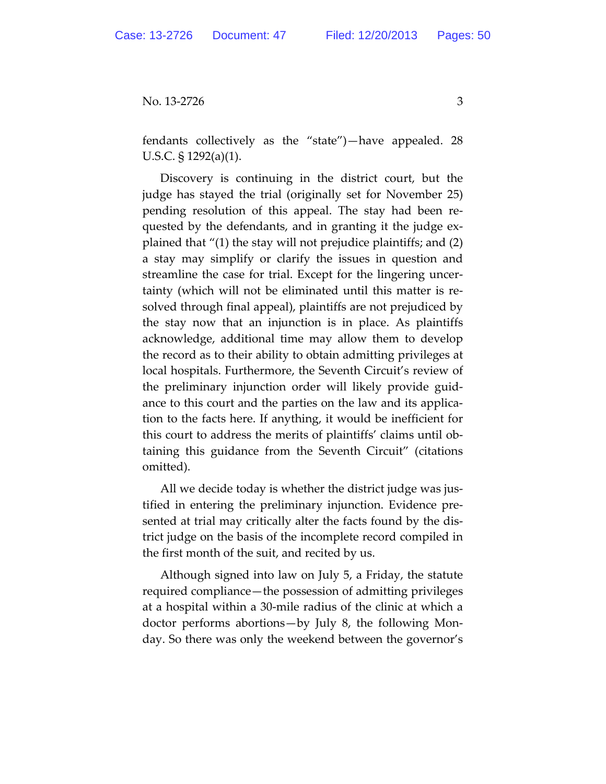fendants collectively as the "state")—have appealed. 28 U.S.C. § 1292(a)(1).

Discovery is continuing in the district court, but the judge has stayed the trial (originally set for November 25) pending resolution of this appeal. The stay had been re‐ quested by the defendants, and in granting it the judge ex‐ plained that "(1) the stay will not prejudice plaintiffs; and (2) a stay may simplify or clarify the issues in question and streamline the case for trial. Except for the lingering uncer‐ tainty (which will not be eliminated until this matter is re‐ solved through final appeal), plaintiffs are not prejudiced by the stay now that an injunction is in place. As plaintiffs acknowledge, additional time may allow them to develop the record as to their ability to obtain admitting privileges at local hospitals. Furthermore, the Seventh Circuit's review of the preliminary injunction order will likely provide guid‐ ance to this court and the parties on the law and its applica‐ tion to the facts here. If anything, it would be inefficient for this court to address the merits of plaintiffs' claims until ob‐ taining this guidance from the Seventh Circuit" (citations omitted).

All we decide today is whether the district judge was justified in entering the preliminary injunction. Evidence pre‐ sented at trial may critically alter the facts found by the dis‐ trict judge on the basis of the incomplete record compiled in the first month of the suit, and recited by us.

Although signed into law on July 5, a Friday, the statute required compliance—the possession of admitting privileges at a hospital within a 30‐mile radius of the clinic at which a doctor performs abortions—by July 8, the following Mon‐ day. So there was only the weekend between the governor's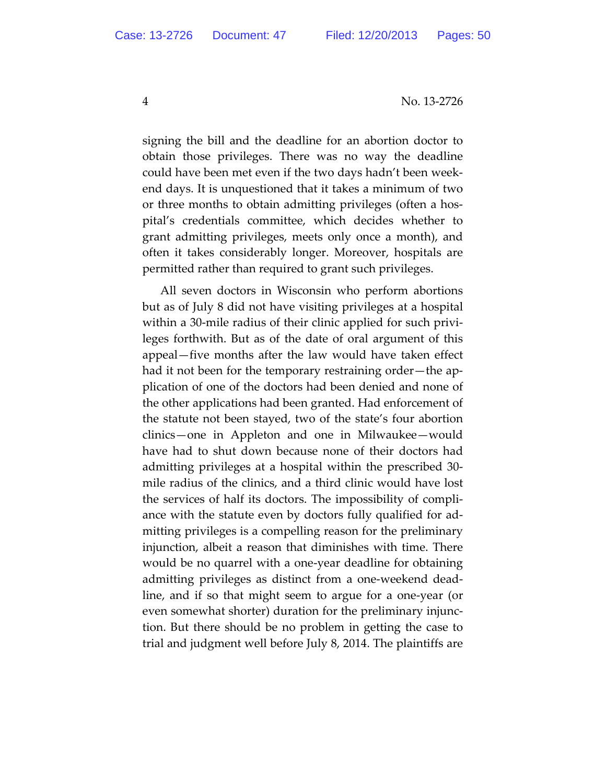signing the bill and the deadline for an abortion doctor to obtain those privileges. There was no way the deadline could have been met even if the two days hadn't been week‐ end days. It is unquestioned that it takes a minimum of two or three months to obtain admitting privileges (often a hos‐ pital's credentials committee, which decides whether to grant admitting privileges, meets only once a month), and often it takes considerably longer. Moreover, hospitals are permitted rather than required to grant such privileges.

All seven doctors in Wisconsin who perform abortions but as of July 8 did not have visiting privileges at a hospital within a 30-mile radius of their clinic applied for such privileges forthwith. But as of the date of oral argument of this appeal—five months after the law would have taken effect had it not been for the temporary restraining order—the application of one of the doctors had been denied and none of the other applications had been granted. Had enforcement of the statute not been stayed, two of the state's four abortion clinics—one in Appleton and one in Milwaukee—would have had to shut down because none of their doctors had admitting privileges at a hospital within the prescribed 30‐ mile radius of the clinics, and a third clinic would have lost the services of half its doctors. The impossibility of compli‐ ance with the statute even by doctors fully qualified for ad‐ mitting privileges is a compelling reason for the preliminary injunction, albeit a reason that diminishes with time. There would be no quarrel with a one‐year deadline for obtaining admitting privileges as distinct from a one‐weekend dead‐ line, and if so that might seem to argue for a one‐year (or even somewhat shorter) duration for the preliminary injunc‐ tion. But there should be no problem in getting the case to trial and judgment well before July 8, 2014. The plaintiffs are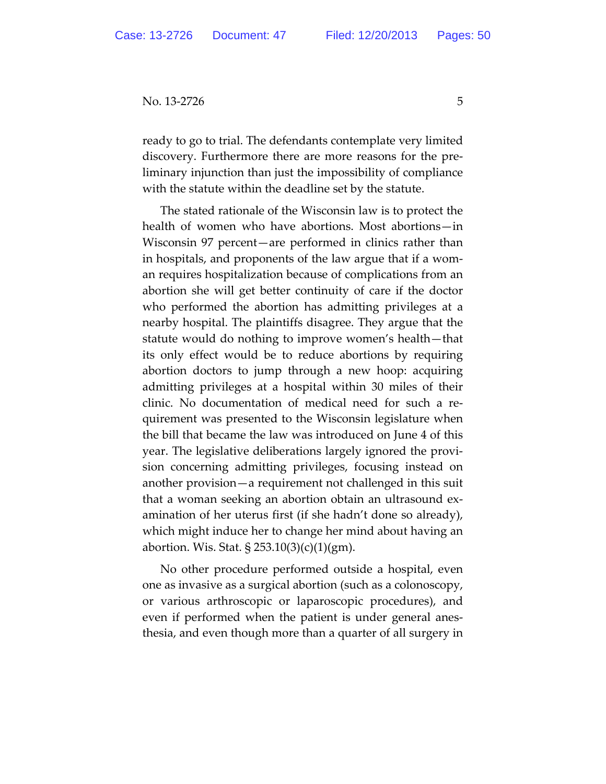ready to go to trial. The defendants contemplate very limited discovery. Furthermore there are more reasons for the pre‐ liminary injunction than just the impossibility of compliance with the statute within the deadline set by the statute.

The stated rationale of the Wisconsin law is to protect the health of women who have abortions. Most abortions—in Wisconsin 97 percent—are performed in clinics rather than in hospitals, and proponents of the law argue that if a wom‐ an requires hospitalization because of complications from an abortion she will get better continuity of care if the doctor who performed the abortion has admitting privileges at a nearby hospital. The plaintiffs disagree. They argue that the statute would do nothing to improve women's health—that its only effect would be to reduce abortions by requiring abortion doctors to jump through a new hoop: acquiring admitting privileges at a hospital within 30 miles of their clinic. No documentation of medical need for such a re‐ quirement was presented to the Wisconsin legislature when the bill that became the law was introduced on June 4 of this year. The legislative deliberations largely ignored the provi‐ sion concerning admitting privileges, focusing instead on another provision—a requirement not challenged in this suit that a woman seeking an abortion obtain an ultrasound ex‐ amination of her uterus first (if she hadn't done so already), which might induce her to change her mind about having an abortion. Wis. Stat. § 253.10(3)(c)(1)(gm).

No other procedure performed outside a hospital, even one as invasive as a surgical abortion (such as a colonoscopy, or various arthroscopic or laparoscopic procedures), and even if performed when the patient is under general anes‐ thesia, and even though more than a quarter of all surgery in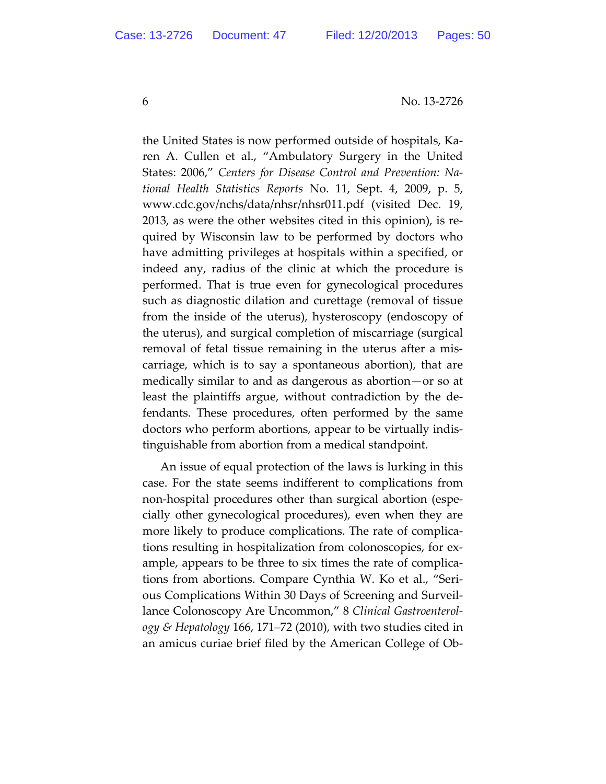the United States is now performed outside of hospitals, Ka‐ ren A. Cullen et al., "Ambulatory Surgery in the United States: 2006," *Centers for Disease Control and Prevention: Na‐ tional Health Statistics Reports* No. 11, Sept. 4, 2009, p. 5, www.cdc.gov/nchs/data/nhsr/nhsr011.pdf (visited Dec. 19, 2013, as were the other websites cited in this opinion), is re‐ quired by Wisconsin law to be performed by doctors who have admitting privileges at hospitals within a specified, or indeed any, radius of the clinic at which the procedure is performed. That is true even for gynecological procedures such as diagnostic dilation and curettage (removal of tissue from the inside of the uterus), hysteroscopy (endoscopy of the uterus), and surgical completion of miscarriage (surgical removal of fetal tissue remaining in the uterus after a mis‐ carriage, which is to say a spontaneous abortion), that are medically similar to and as dangerous as abortion—or so at least the plaintiffs argue, without contradiction by the de‐ fendants. These procedures, often performed by the same doctors who perform abortions, appear to be virtually indis‐ tinguishable from abortion from a medical standpoint.

An issue of equal protection of the laws is lurking in this case. For the state seems indifferent to complications from non-hospital procedures other than surgical abortion (especially other gynecological procedures), even when they are more likely to produce complications. The rate of complica‐ tions resulting in hospitalization from colonoscopies, for ex‐ ample, appears to be three to six times the rate of complica‐ tions from abortions. Compare Cynthia W. Ko et al., "Seri‐ ous Complications Within 30 Days of Screening and Surveil‐ lance Colonoscopy Are Uncommon," 8 *Clinical Gastroenterol‐ ogy & Hepatology* 166, 171–72 (2010), with two studies cited in an amicus curiae brief filed by the American College of Ob‐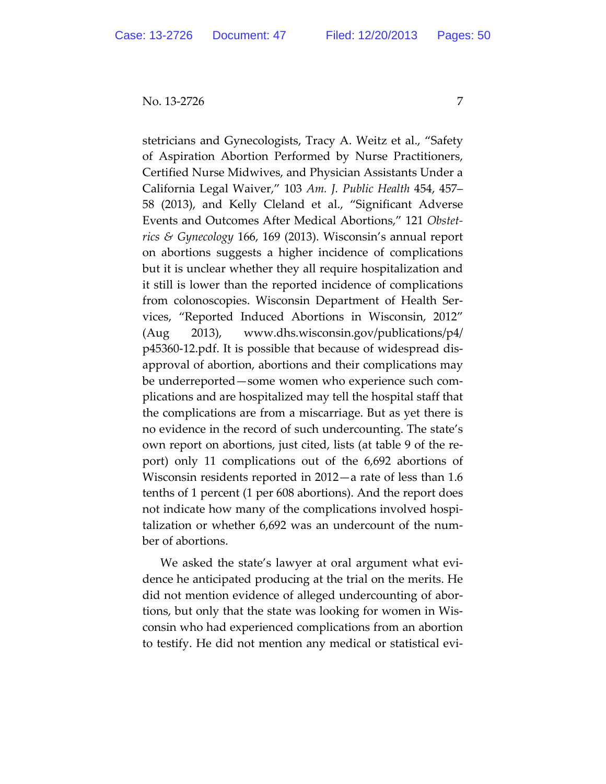stetricians and Gynecologists, Tracy A. Weitz et al., "Safety of Aspiration Abortion Performed by Nurse Practitioners, Certified Nurse Midwives, and Physician Assistants Under a California Legal Waiver," 103 *Am. J. Public Health* 454, 457– 58 (2013), and Kelly Cleland et al., "Significant Adverse Events and Outcomes After Medical Abortions," 121 *Obstet‐ rics & Gynecology* 166, 169 (2013). Wisconsin's annual report on abortions suggests a higher incidence of complications but it is unclear whether they all require hospitalization and it still is lower than the reported incidence of complications from colonoscopies. Wisconsin Department of Health Ser‐ vices, "Reported Induced Abortions in Wisconsin, 2012" (Aug 2013), www.dhs.wisconsin.gov/publications/p4/ p45360‐12.pdf. It is possible that because of widespread dis‐ approval of abortion, abortions and their complications may be underreported—some women who experience such com‐ plications and are hospitalized may tell the hospital staff that the complications are from a miscarriage. But as yet there is no evidence in the record of such undercounting. The state's own report on abortions, just cited, lists (at table 9 of the re‐ port) only 11 complications out of the 6,692 abortions of Wisconsin residents reported in 2012—a rate of less than 1.6 tenths of 1 percent (1 per 608 abortions). And the report does not indicate how many of the complications involved hospi‐ talization or whether 6,692 was an undercount of the num‐ ber of abortions.

We asked the state's lawyer at oral argument what evi‐ dence he anticipated producing at the trial on the merits. He did not mention evidence of alleged undercounting of abor‐ tions, but only that the state was looking for women in Wis‐ consin who had experienced complications from an abortion to testify. He did not mention any medical or statistical evi‐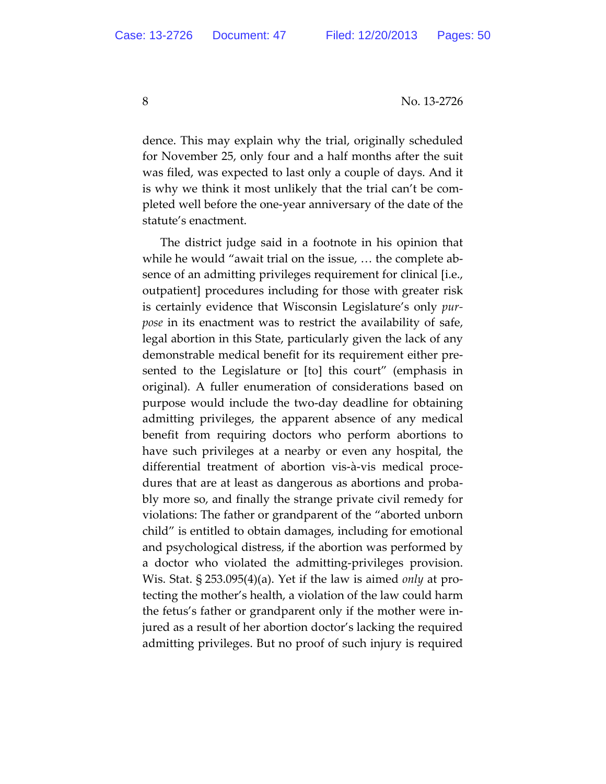dence. This may explain why the trial, originally scheduled for November 25, only four and a half months after the suit was filed, was expected to last only a couple of days. And it is why we think it most unlikely that the trial can't be com‐ pleted well before the one‐year anniversary of the date of the statute's enactment.

The district judge said in a footnote in his opinion that while he would "await trial on the issue, … the complete ab‐ sence of an admitting privileges requirement for clinical [i.e., outpatient] procedures including for those with greater risk is certainly evidence that Wisconsin Legislature's only *pur‐ pose* in its enactment was to restrict the availability of safe, legal abortion in this State, particularly given the lack of any demonstrable medical benefit for its requirement either pre‐ sented to the Legislature or [to] this court" (emphasis in original). A fuller enumeration of considerations based on purpose would include the two‐day deadline for obtaining admitting privileges, the apparent absence of any medical benefit from requiring doctors who perform abortions to have such privileges at a nearby or even any hospital, the differential treatment of abortion vis‐à‐vis medical proce‐ dures that are at least as dangerous as abortions and proba‐ bly more so, and finally the strange private civil remedy for violations: The father or grandparent of the "aborted unborn child" is entitled to obtain damages, including for emotional and psychological distress, if the abortion was performed by a doctor who violated the admitting‐privileges provision. Wis. Stat. § 253.095(4)(a). Yet if the law is aimed *only* at pro‐ tecting the mother's health, a violation of the law could harm the fetus's father or grandparent only if the mother were in‐ jured as a result of her abortion doctor's lacking the required admitting privileges. But no proof of such injury is required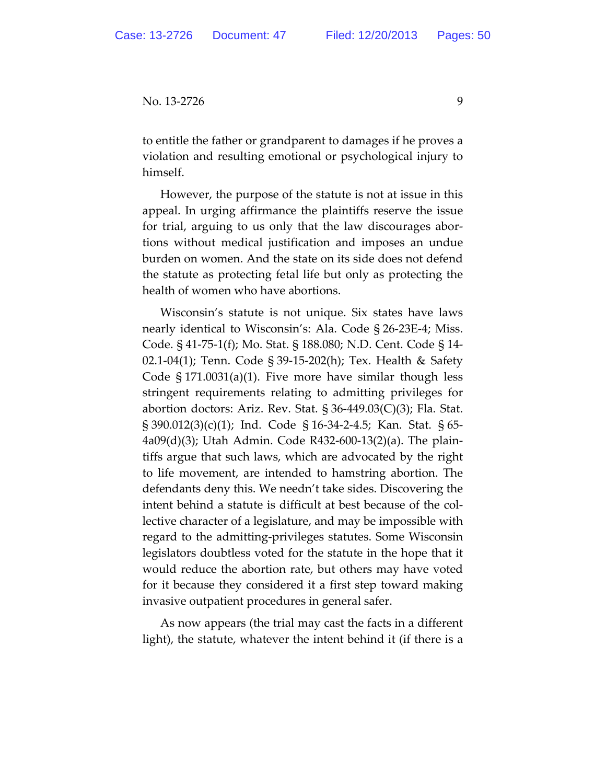to entitle the father or grandparent to damages if he proves a violation and resulting emotional or psychological injury to himself.

However, the purpose of the statute is not at issue in this appeal. In urging affirmance the plaintiffs reserve the issue for trial, arguing to us only that the law discourages abor‐ tions without medical justification and imposes an undue burden on women. And the state on its side does not defend the statute as protecting fetal life but only as protecting the health of women who have abortions.

Wisconsin's statute is not unique. Six states have laws nearly identical to Wisconsin's: Ala. Code § 26‐23E‐4; Miss. Code. § 41‐75‐1(f); Mo. Stat. § 188.080; N.D. Cent. Code § 14‐ 02.1‐04(1); Tenn. Code § 39‐15‐202(h); Tex. Health & Safety Code § 171.0031(a)(1). Five more have similar though less stringent requirements relating to admitting privileges for abortion doctors: Ariz. Rev. Stat.  $\S 36-449.03(C)(3)$ ; Fla. Stat. § 390.012(3)(c)(1); Ind. Code § 16‐34‐2‐4.5; Kan. Stat. § 65‐ 4a09(d)(3); Utah Admin. Code R432‐600‐13(2)(a). The plain‐ tiffs argue that such laws, which are advocated by the right to life movement, are intended to hamstring abortion. The defendants deny this. We needn't take sides. Discovering the intent behind a statute is difficult at best because of the collective character of a legislature, and may be impossible with regard to the admitting‐privileges statutes. Some Wisconsin legislators doubtless voted for the statute in the hope that it would reduce the abortion rate, but others may have voted for it because they considered it a first step toward making invasive outpatient procedures in general safer.

As now appears (the trial may cast the facts in a different light), the statute, whatever the intent behind it (if there is a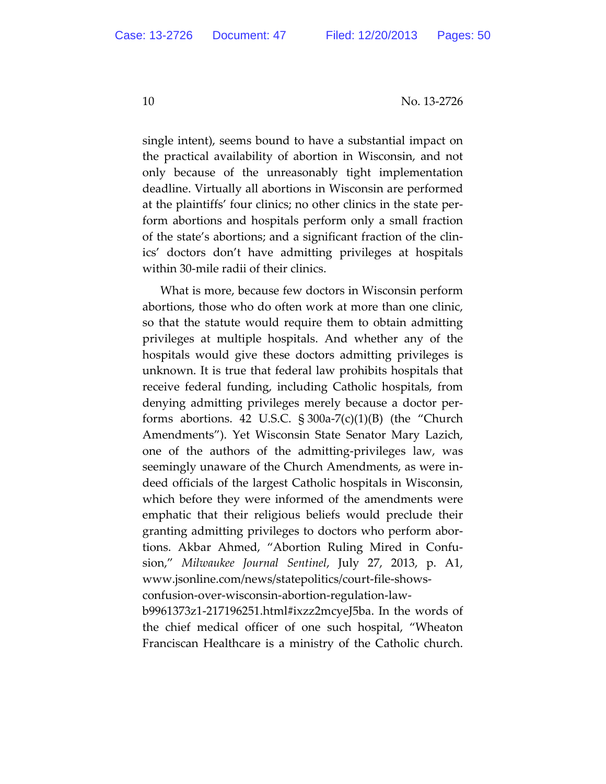single intent), seems bound to have a substantial impact on the practical availability of abortion in Wisconsin, and not only because of the unreasonably tight implementation deadline. Virtually all abortions in Wisconsin are performed at the plaintiffs' four clinics; no other clinics in the state per‐ form abortions and hospitals perform only a small fraction of the state's abortions; and a significant fraction of the clin‐ ics' doctors don't have admitting privileges at hospitals within 30‐mile radii of their clinics.

What is more, because few doctors in Wisconsin perform abortions, those who do often work at more than one clinic, so that the statute would require them to obtain admitting privileges at multiple hospitals. And whether any of the hospitals would give these doctors admitting privileges is unknown. It is true that federal law prohibits hospitals that receive federal funding, including Catholic hospitals, from denying admitting privileges merely because a doctor per‐ forms abortions. 42 U.S.C.  $\S 300a-7(c)(1)(B)$  (the "Church Amendments"). Yet Wisconsin State Senator Mary Lazich, one of the authors of the admitting‐privileges law, was seemingly unaware of the Church Amendments, as were in‐ deed officials of the largest Catholic hospitals in Wisconsin, which before they were informed of the amendments were emphatic that their religious beliefs would preclude their granting admitting privileges to doctors who perform abor‐ tions. Akbar Ahmed, "Abortion Ruling Mired in Confu‐ sion," *Milwaukee Journal Sentinel*, July 27, 2013, p. A1, www.jsonline.com/news/statepolitics/court‐file‐shows‐ confusion‐over‐wisconsin‐abortion‐regulation‐law‐

b9961373z1‐217196251.html#ixzz2mcyeJ5ba. In the words of the chief medical officer of one such hospital, "Wheaton Franciscan Healthcare is a ministry of the Catholic church.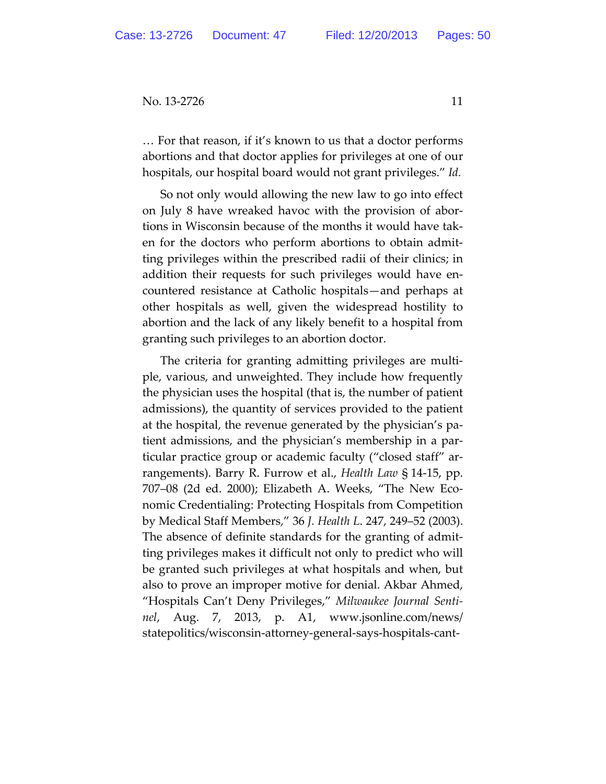… For that reason, if it's known to us that a doctor performs abortions and that doctor applies for privileges at one of our hospitals, our hospital board would not grant privileges." *Id.*

So not only would allowing the new law to go into effect on July 8 have wreaked havoc with the provision of abor‐ tions in Wisconsin because of the months it would have tak‐ en for the doctors who perform abortions to obtain admit‐ ting privileges within the prescribed radii of their clinics; in addition their requests for such privileges would have en‐ countered resistance at Catholic hospitals—and perhaps at other hospitals as well, given the widespread hostility to abortion and the lack of any likely benefit to a hospital from granting such privileges to an abortion doctor.

The criteria for granting admitting privileges are multi‐ ple, various, and unweighted. They include how frequently the physician uses the hospital (that is, the number of patient admissions), the quantity of services provided to the patient at the hospital, the revenue generated by the physician's pa‐ tient admissions, and the physician's membership in a par‐ ticular practice group or academic faculty ("closed staff" ar‐ rangements). Barry R. Furrow et al., *Health Law* § 14‐15, pp. 707–08 (2d ed. 2000); Elizabeth A. Weeks, "The New Eco‐ nomic Credentialing: Protecting Hospitals from Competition by Medical Staff Members," 36 *J. Health L*. 247, 249–52 (2003). The absence of definite standards for the granting of admit‐ ting privileges makes it difficult not only to predict who will be granted such privileges at what hospitals and when, but also to prove an improper motive for denial. Akbar Ahmed, "Hospitals Can't Deny Privileges," *Milwaukee Journal Senti‐ nel*, Aug. 7, 2013, p. A1, www.jsonline.com/news/ statepolitics/wisconsin‐attorney‐general‐says‐hospitals‐cant‐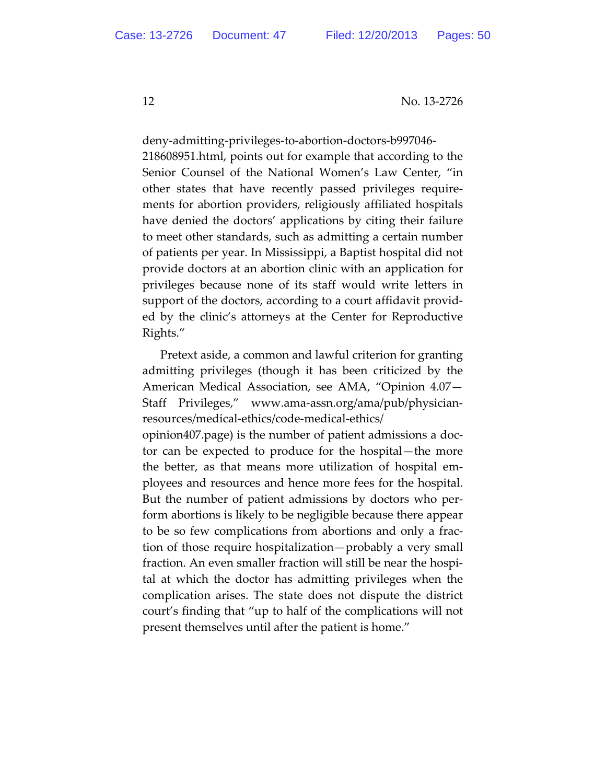deny‐admitting‐privileges‐to‐abortion‐doctors‐b997046‐ 218608951.html, points out for example that according to the Senior Counsel of the National Women's Law Center, "in other states that have recently passed privileges require‐ ments for abortion providers, religiously affiliated hospitals have denied the doctors' applications by citing their failure to meet other standards, such as admitting a certain number of patients per year. In Mississippi, a Baptist hospital did not provide doctors at an abortion clinic with an application for privileges because none of its staff would write letters in support of the doctors, according to a court affidavit provid‐ ed by the clinic's attorneys at the Center for Reproductive Rights."

Pretext aside, a common and lawful criterion for granting admitting privileges (though it has been criticized by the American Medical Association, see AMA, "Opinion 4.07— Staff Privileges," www.ama‐assn.org/ama/pub/physician‐ resources/medical‐ethics/code‐medical‐ethics/

opinion407.page) is the number of patient admissions a doc‐ tor can be expected to produce for the hospital—the more the better, as that means more utilization of hospital em‐ ployees and resources and hence more fees for the hospital. But the number of patient admissions by doctors who per‐ form abortions is likely to be negligible because there appear to be so few complications from abortions and only a frac‐ tion of those require hospitalization—probably a very small fraction. An even smaller fraction will still be near the hospi‐ tal at which the doctor has admitting privileges when the complication arises. The state does not dispute the district court's finding that "up to half of the complications will not present themselves until after the patient is home."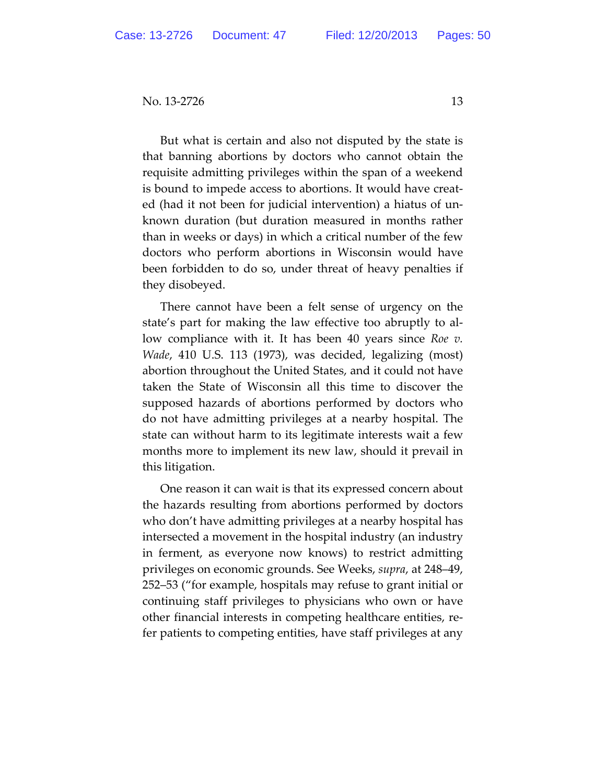But what is certain and also not disputed by the state is that banning abortions by doctors who cannot obtain the requisite admitting privileges within the span of a weekend is bound to impede access to abortions. It would have creat‐ ed (had it not been for judicial intervention) a hiatus of un‐ known duration (but duration measured in months rather than in weeks or days) in which a critical number of the few doctors who perform abortions in Wisconsin would have been forbidden to do so, under threat of heavy penalties if they disobeyed.

There cannot have been a felt sense of urgency on the state's part for making the law effective too abruptly to al‐ low compliance with it. It has been 40 years since *Roe v. Wade*, 410 U.S. 113 (1973), was decided, legalizing (most) abortion throughout the United States, and it could not have taken the State of Wisconsin all this time to discover the supposed hazards of abortions performed by doctors who do not have admitting privileges at a nearby hospital. The state can without harm to its legitimate interests wait a few months more to implement its new law, should it prevail in this litigation.

One reason it can wait is that its expressed concern about the hazards resulting from abortions performed by doctors who don't have admitting privileges at a nearby hospital has intersected a movement in the hospital industry (an industry in ferment, as everyone now knows) to restrict admitting privileges on economic grounds. See Weeks, *supra*, at 248–49, 252–53 ("for example, hospitals may refuse to grant initial or continuing staff privileges to physicians who own or have other financial interests in competing healthcare entities, re‐ fer patients to competing entities, have staff privileges at any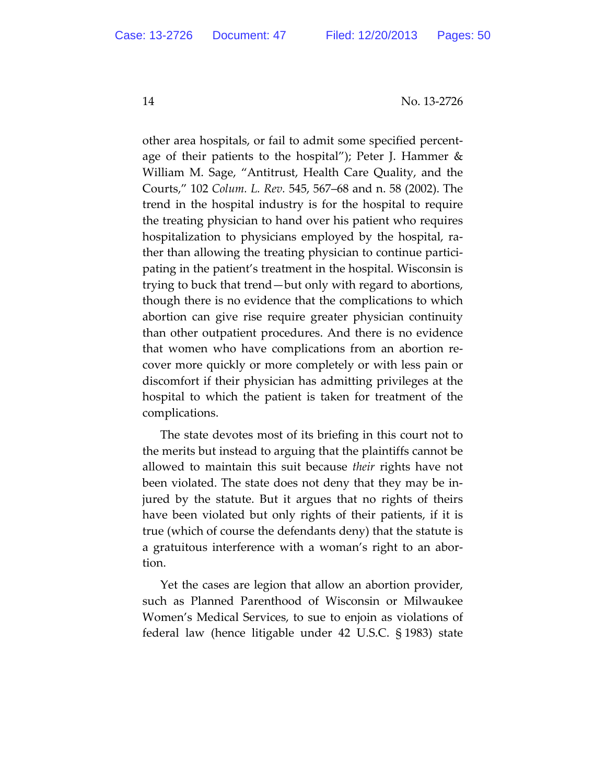other area hospitals, or fail to admit some specified percent‐ age of their patients to the hospital"); Peter J. Hammer & William M. Sage, "Antitrust, Health Care Quality, and the Courts," 102 *Colum. L. Rev.* 545, 567–68 and n. 58 (2002). The trend in the hospital industry is for the hospital to require the treating physician to hand over his patient who requires hospitalization to physicians employed by the hospital, ra‐ ther than allowing the treating physician to continue partici‐ pating in the patient's treatment in the hospital. Wisconsin is trying to buck that trend—but only with regard to abortions, though there is no evidence that the complications to which abortion can give rise require greater physician continuity than other outpatient procedures. And there is no evidence that women who have complications from an abortion re‐ cover more quickly or more completely or with less pain or discomfort if their physician has admitting privileges at the hospital to which the patient is taken for treatment of the complications.

The state devotes most of its briefing in this court not to the merits but instead to arguing that the plaintiffs cannot be allowed to maintain this suit because *their* rights have not been violated. The state does not deny that they may be in‐ jured by the statute. But it argues that no rights of theirs have been violated but only rights of their patients, if it is true (which of course the defendants deny) that the statute is a gratuitous interference with a woman's right to an abor‐ tion.

Yet the cases are legion that allow an abortion provider, such as Planned Parenthood of Wisconsin or Milwaukee Women's Medical Services, to sue to enjoin as violations of federal law (hence litigable under 42 U.S.C. § 1983) state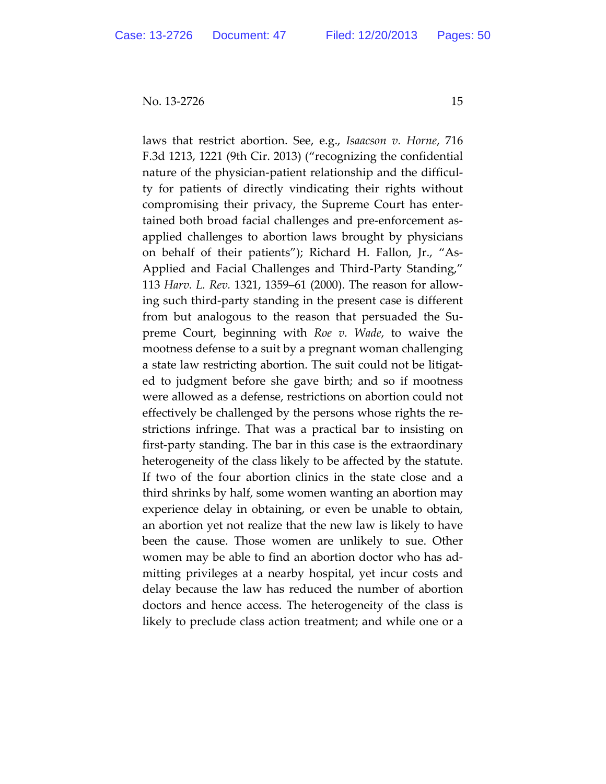laws that restrict abortion. See, e.g., *Isaacson v. Horne*, 716 F.3d 1213, 1221 (9th Cir. 2013) ("recognizing the confidential nature of the physician-patient relationship and the difficulty for patients of directly vindicating their rights without compromising their privacy, the Supreme Court has enter‐ tained both broad facial challenges and pre‐enforcement as‐ applied challenges to abortion laws brought by physicians on behalf of their patients"); Richard H. Fallon, Jr., "As‐ Applied and Facial Challenges and Third‐Party Standing," 113 *Harv. L. Rev.* 1321, 1359–61 (2000). The reason for allow‐ ing such third‐party standing in the present case is different from but analogous to the reason that persuaded the Su‐ preme Court, beginning with *Roe v. Wade*, to waive the mootness defense to a suit by a pregnant woman challenging a state law restricting abortion. The suit could not be litigat‐ ed to judgment before she gave birth; and so if mootness were allowed as a defense, restrictions on abortion could not effectively be challenged by the persons whose rights the re‐ strictions infringe. That was a practical bar to insisting on first‐party standing. The bar in this case is the extraordinary heterogeneity of the class likely to be affected by the statute. If two of the four abortion clinics in the state close and a third shrinks by half, some women wanting an abortion may experience delay in obtaining, or even be unable to obtain, an abortion yet not realize that the new law is likely to have been the cause. Those women are unlikely to sue. Other women may be able to find an abortion doctor who has ad‐ mitting privileges at a nearby hospital, yet incur costs and delay because the law has reduced the number of abortion doctors and hence access. The heterogeneity of the class is likely to preclude class action treatment; and while one or a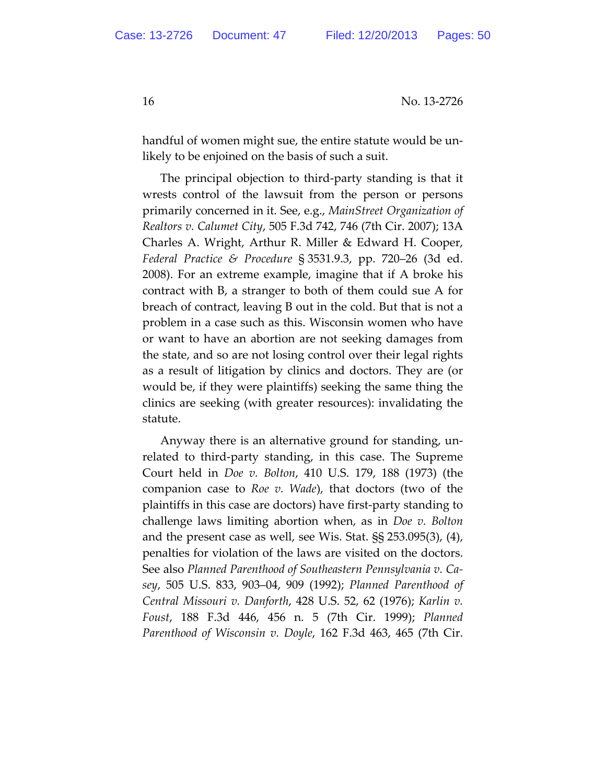handful of women might sue, the entire statute would be unlikely to be enjoined on the basis of such a suit.

The principal objection to third‐party standing is that it wrests control of the lawsuit from the person or persons primarily concerned in it. See, e.g., *MainStreet Organization of Realtors v. Calumet City*, 505 F.3d 742, 746 (7th Cir. 2007); 13A Charles A. Wright, Arthur R. Miller & Edward H. Cooper, *Federal Practice & Procedure* § 3531.9.3, pp. 720–26 (3d ed. 2008). For an extreme example, imagine that if A broke his contract with B, a stranger to both of them could sue A for breach of contract, leaving B out in the cold. But that is not a problem in a case such as this. Wisconsin women who have or want to have an abortion are not seeking damages from the state, and so are not losing control over their legal rights as a result of litigation by clinics and doctors. They are (or would be, if they were plaintiffs) seeking the same thing the clinics are seeking (with greater resources): invalidating the statute.

Anyway there is an alternative ground for standing, un‐ related to third‐party standing, in this case. The Supreme Court held in *Doe v. Bolton*, 410 U.S. 179, 188 (1973) (the companion case to *Roe v. Wade*), that doctors (two of the plaintiffs in this case are doctors) have first‐party standing to challenge laws limiting abortion when, as in *Doe v. Bolton* and the present case as well, see Wis. Stat. §§ 253.095(3), (4), penalties for violation of the laws are visited on the doctors. See also *Planned Parenthood of Southeastern Pennsylvania v. Ca‐ sey*, 505 U.S. 833, 903–04, 909 (1992); *Planned Parenthood of Central Missouri v. Danforth*, 428 U.S. 52, 62 (1976); *Karlin v. Foust*, 188 F.3d 446, 456 n. 5 (7th Cir. 1999); *Planned Parenthood of Wisconsin v. Doyle*, 162 F.3d 463, 465 (7th Cir.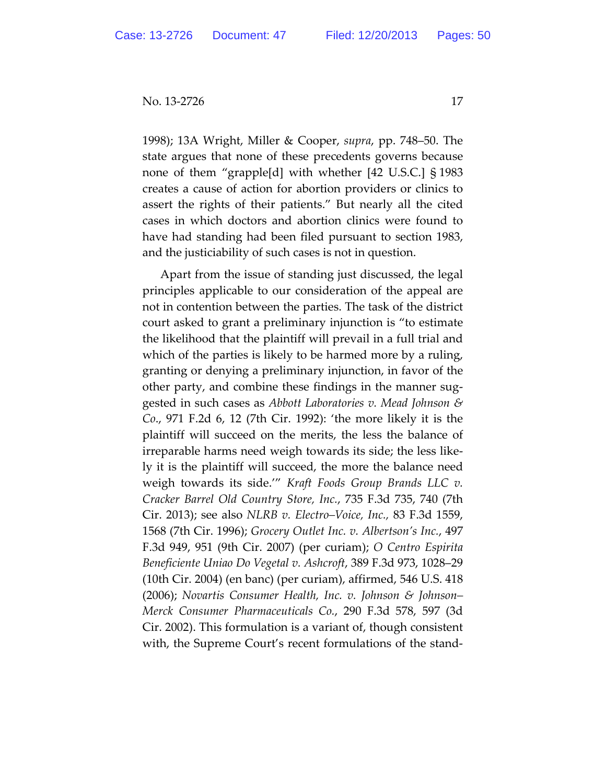1998); 13A Wright, Miller & Cooper, *supra*, pp. 748–50. The state argues that none of these precedents governs because none of them "grapple[d] with whether [42 U.S.C.] § 1983 creates a cause of action for abortion providers or clinics to assert the rights of their patients." But nearly all the cited cases in which doctors and abortion clinics were found to have had standing had been filed pursuant to section 1983, and the justiciability of such cases is not in question.

Apart from the issue of standing just discussed, the legal principles applicable to our consideration of the appeal are not in contention between the parties. The task of the district court asked to grant a preliminary injunction is "to estimate the likelihood that the plaintiff will prevail in a full trial and which of the parties is likely to be harmed more by a ruling, granting or denying a preliminary injunction, in favor of the other party, and combine these findings in the manner sug‐ gested in such cases as *Abbott Laboratories v. Mead Johnson & Co*., 971 F.2d 6, 12 (7th Cir. 1992): 'the more likely it is the plaintiff will succeed on the merits, the less the balance of irreparable harms need weigh towards its side; the less like‐ ly it is the plaintiff will succeed, the more the balance need weigh towards its side.'" *Kraft Foods Group Brands LLC v. Cracker Barrel Old Country Store, Inc.*, 735 F.3d 735, 740 (7th Cir. 2013); see also *NLRB v. Electro–Voice, Inc.,* 83 F.3d 1559, 1568 (7th Cir. 1996); *Grocery Outlet Inc. v. Albertson's Inc.*, 497 F.3d 949, 951 (9th Cir. 2007) (per curiam); *O Centro Espirita Beneficiente Uniao Do Vegetal v. Ashcroft*, 389 F.3d 973, 1028–29 (10th Cir. 2004) (en banc) (per curiam), affirmed, 546 U.S. 418 (2006); *Novartis Consumer Health, Inc. v. Johnson & Johnson– Merck Consumer Pharmaceuticals Co.*, 290 F.3d 578, 597 (3d Cir. 2002). This formulation is a variant of, though consistent with, the Supreme Court's recent formulations of the stand‐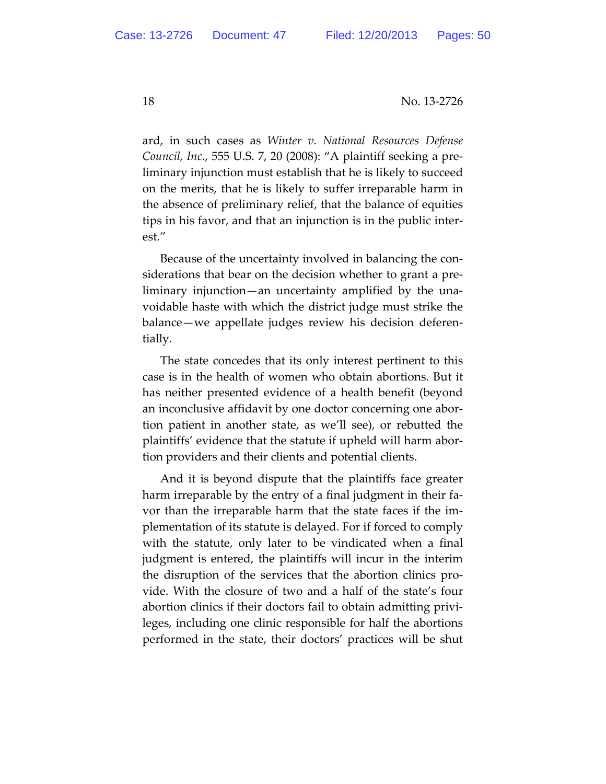ard, in such cases as *Winter v. National Resources Defense Council, Inc*., 555 U.S. 7, 20 (2008): "A plaintiff seeking a pre‐ liminary injunction must establish that he is likely to succeed on the merits, that he is likely to suffer irreparable harm in the absence of preliminary relief, that the balance of equities tips in his favor, and that an injunction is in the public inter‐ est."

Because of the uncertainty involved in balancing the con‐ siderations that bear on the decision whether to grant a pre‐ liminary injunction—an uncertainty amplified by the una‐ voidable haste with which the district judge must strike the balance—we appellate judges review his decision deferen‐ tially.

The state concedes that its only interest pertinent to this case is in the health of women who obtain abortions. But it has neither presented evidence of a health benefit (beyond an inconclusive affidavit by one doctor concerning one abor‐ tion patient in another state, as we'll see), or rebutted the plaintiffs' evidence that the statute if upheld will harm abor‐ tion providers and their clients and potential clients.

And it is beyond dispute that the plaintiffs face greater harm irreparable by the entry of a final judgment in their favor than the irreparable harm that the state faces if the im‐ plementation of its statute is delayed. For if forced to comply with the statute, only later to be vindicated when a final judgment is entered, the plaintiffs will incur in the interim the disruption of the services that the abortion clinics pro‐ vide. With the closure of two and a half of the state's four abortion clinics if their doctors fail to obtain admitting privi‐ leges, including one clinic responsible for half the abortions performed in the state, their doctors' practices will be shut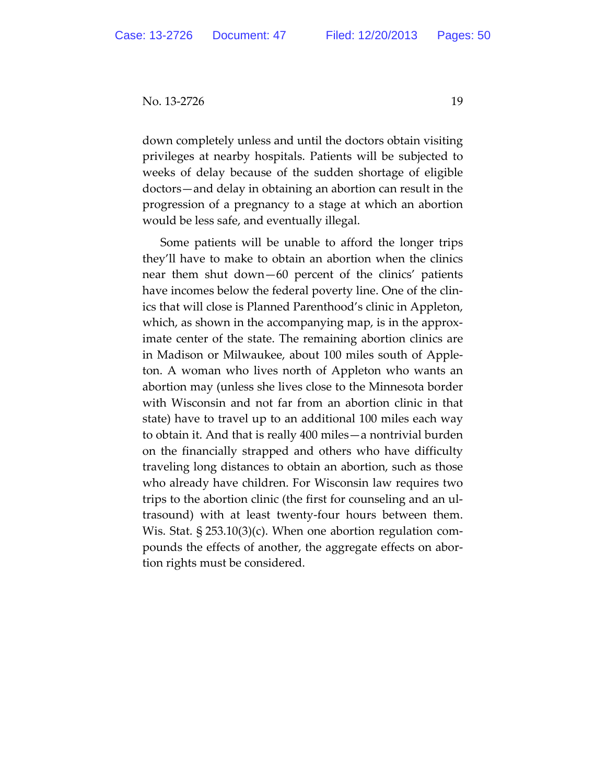down completely unless and until the doctors obtain visiting privileges at nearby hospitals. Patients will be subjected to weeks of delay because of the sudden shortage of eligible doctors—and delay in obtaining an abortion can result in the progression of a pregnancy to a stage at which an abortion would be less safe, and eventually illegal.

Some patients will be unable to afford the longer trips they'll have to make to obtain an abortion when the clinics near them shut down—60 percent of the clinics' patients have incomes below the federal poverty line. One of the clinics that will close is Planned Parenthood's clinic in Appleton, which, as shown in the accompanying map, is in the approximate center of the state. The remaining abortion clinics are in Madison or Milwaukee, about 100 miles south of Apple‐ ton. A woman who lives north of Appleton who wants an abortion may (unless she lives close to the Minnesota border with Wisconsin and not far from an abortion clinic in that state) have to travel up to an additional 100 miles each way to obtain it. And that is really 400 miles—a nontrivial burden on the financially strapped and others who have difficulty traveling long distances to obtain an abortion, such as those who already have children. For Wisconsin law requires two trips to the abortion clinic (the first for counseling and an ul‐ trasound) with at least twenty‐four hours between them. Wis. Stat. § 253.10(3)(c). When one abortion regulation compounds the effects of another, the aggregate effects on abor‐ tion rights must be considered.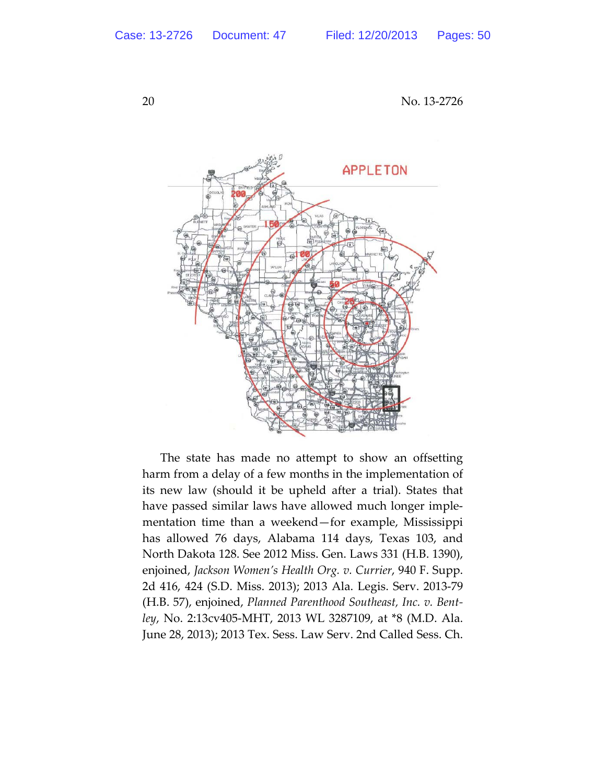

The state has made no attempt to show an offsetting harm from a delay of a few months in the implementation of its new law (should it be upheld after a trial). States that have passed similar laws have allowed much longer implementation time than a weekend—for example, Mississippi has allowed 76 days, Alabama 114 days, Texas 103, and North Dakota 128. See 2012 Miss. Gen. Laws 331 (H.B. 1390), enjoined, *Jackson Women's Health Org. v. Currier*, 940 F. Supp. 2d 416, 424 (S.D. Miss. 2013); 2013 Ala. Legis. Serv. 2013‐79 (H.B. 57), enjoined, *Planned Parenthood Southeast, Inc. v. Bent‐ ley*, No. 2:13cv405‐MHT, 2013 WL 3287109, at \*8 (M.D. Ala. June 28, 2013); 2013 Tex. Sess. Law Serv. 2nd Called Sess. Ch.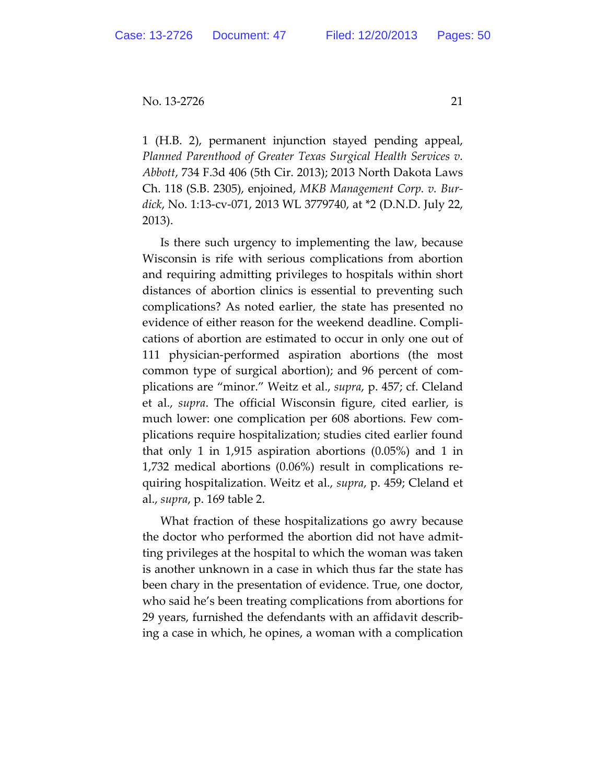1 (H.B. 2), permanent injunction stayed pending appeal, *Planned Parenthood of Greater Texas Surgical Health Services v. Abbott*, 734 F.3d 406 (5th Cir. 2013); 2013 North Dakota Laws Ch. 118 (S.B. 2305), enjoined, *MKB Management Corp. v. Bur‐ dick*, No. 1:13‐cv‐071, 2013 WL 3779740, at \*2 (D.N.D. July 22, 2013).

Is there such urgency to implementing the law, because Wisconsin is rife with serious complications from abortion and requiring admitting privileges to hospitals within short distances of abortion clinics is essential to preventing such complications? As noted earlier, the state has presented no evidence of either reason for the weekend deadline. Compli‐ cations of abortion are estimated to occur in only one out of 111 physician‐performed aspiration abortions (the most common type of surgical abortion); and 96 percent of com‐ plications are "minor." Weitz et al., *supra*, p. 457; cf. Cleland et al., *supra*. The official Wisconsin figure, cited earlier, is much lower: one complication per 608 abortions. Few complications require hospitalization; studies cited earlier found that only 1 in 1,915 aspiration abortions (0.05%) and 1 in 1,732 medical abortions (0.06%) result in complications re‐ quiring hospitalization. Weitz et al., *supra*, p. 459; Cleland et al., *supra*, p. 169 table 2.

What fraction of these hospitalizations go awry because the doctor who performed the abortion did not have admit‐ ting privileges at the hospital to which the woman was taken is another unknown in a case in which thus far the state has been chary in the presentation of evidence. True, one doctor, who said he's been treating complications from abortions for 29 years, furnished the defendants with an affidavit describ‐ ing a case in which, he opines, a woman with a complication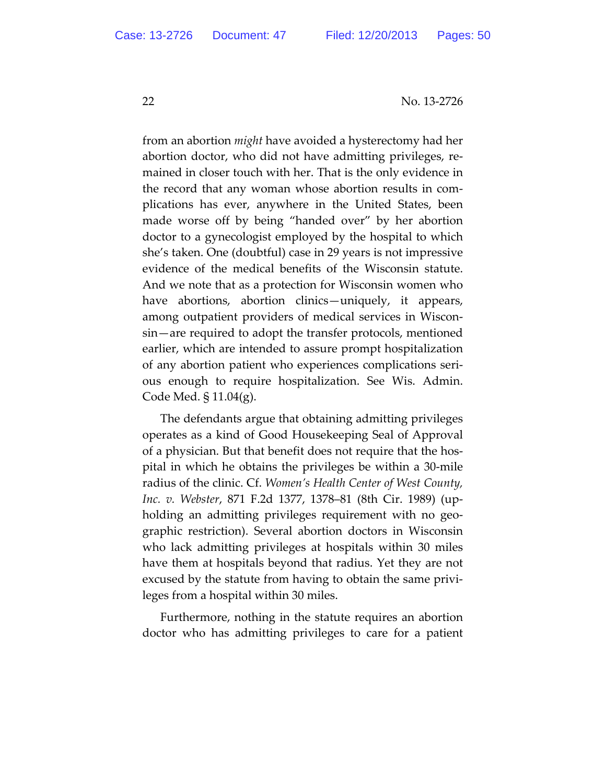from an abortion *might* have avoided a hysterectomy had her abortion doctor, who did not have admitting privileges, re‐ mained in closer touch with her. That is the only evidence in the record that any woman whose abortion results in com‐ plications has ever, anywhere in the United States, been made worse off by being "handed over" by her abortion doctor to a gynecologist employed by the hospital to which she's taken. One (doubtful) case in 29 years is not impressive evidence of the medical benefits of the Wisconsin statute. And we note that as a protection for Wisconsin women who have abortions, abortion clinics—uniquely, it appears, among outpatient providers of medical services in Wiscon‐ sin—are required to adopt the transfer protocols, mentioned earlier, which are intended to assure prompt hospitalization of any abortion patient who experiences complications seri‐ ous enough to require hospitalization. See Wis. Admin. Code Med. § 11.04(g).

The defendants argue that obtaining admitting privileges operates as a kind of Good Housekeeping Seal of Approval of a physician. But that benefit does not require that the hos‐ pital in which he obtains the privileges be within a 30‐mile radius of the clinic. Cf. *Women's Health Center of West County, Inc. v. Webster*, 871 F.2d 1377, 1378–81 (8th Cir. 1989) (up‐ holding an admitting privileges requirement with no geographic restriction). Several abortion doctors in Wisconsin who lack admitting privileges at hospitals within 30 miles have them at hospitals beyond that radius. Yet they are not excused by the statute from having to obtain the same privi‐ leges from a hospital within 30 miles.

Furthermore, nothing in the statute requires an abortion doctor who has admitting privileges to care for a patient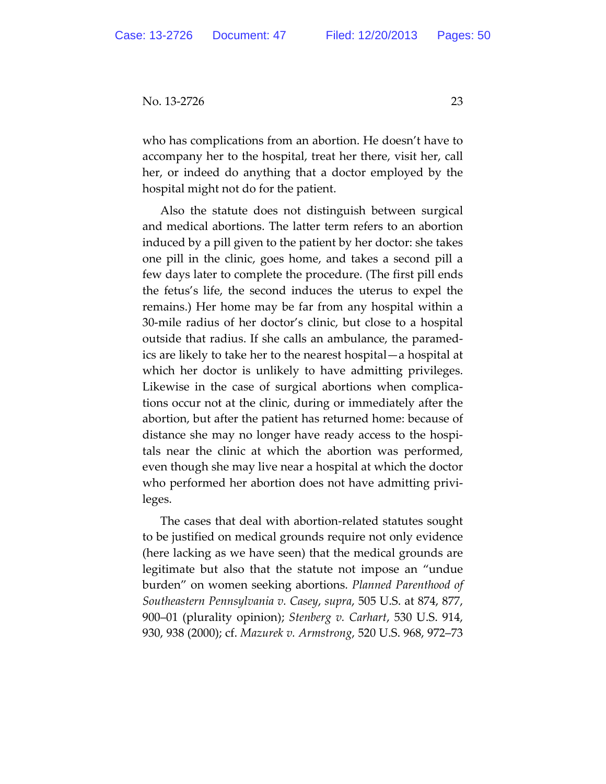who has complications from an abortion. He doesn't have to accompany her to the hospital, treat her there, visit her, call her, or indeed do anything that a doctor employed by the hospital might not do for the patient.

Also the statute does not distinguish between surgical and medical abortions. The latter term refers to an abortion induced by a pill given to the patient by her doctor: she takes one pill in the clinic, goes home, and takes a second pill a few days later to complete the procedure. (The first pill ends the fetus's life, the second induces the uterus to expel the remains.) Her home may be far from any hospital within a 30‐mile radius of her doctor's clinic, but close to a hospital outside that radius. If she calls an ambulance, the paramed‐ ics are likely to take her to the nearest hospital—a hospital at which her doctor is unlikely to have admitting privileges. Likewise in the case of surgical abortions when complica‐ tions occur not at the clinic, during or immediately after the abortion, but after the patient has returned home: because of distance she may no longer have ready access to the hospi‐ tals near the clinic at which the abortion was performed, even though she may live near a hospital at which the doctor who performed her abortion does not have admitting privileges.

The cases that deal with abortion‐related statutes sought to be justified on medical grounds require not only evidence (here lacking as we have seen) that the medical grounds are legitimate but also that the statute not impose an "undue burden" on women seeking abortions. *Planned Parenthood of Southeastern Pennsylvania v. Casey*, *supra*, 505 U.S. at 874, 877, 900–01 (plurality opinion); *Stenberg v. Carhart*, 530 U.S. 914, 930, 938 (2000); cf. *Mazurek v. Armstrong*, 520 U.S. 968, 972–73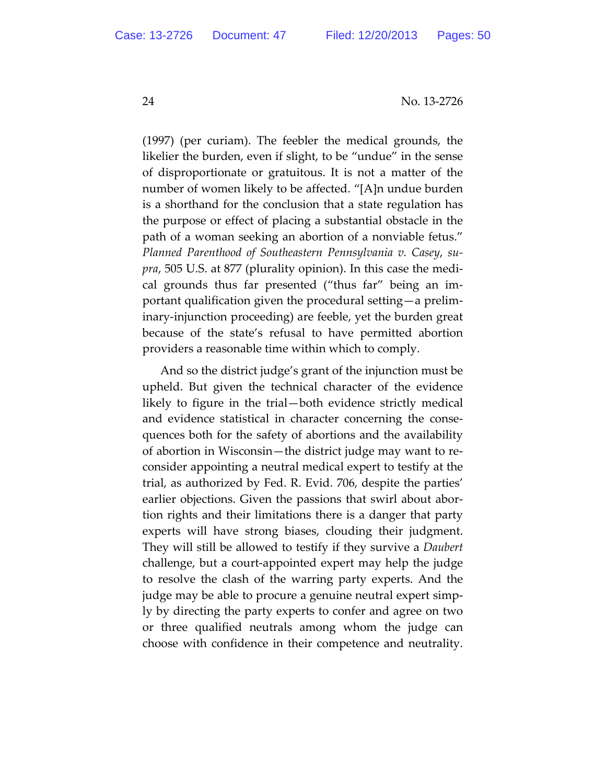(1997) (per curiam). The feebler the medical grounds, the likelier the burden, even if slight, to be "undue" in the sense of disproportionate or gratuitous. It is not a matter of the number of women likely to be affected. "[A]n undue burden is a shorthand for the conclusion that a state regulation has the purpose or effect of placing a substantial obstacle in the path of a woman seeking an abortion of a nonviable fetus." *Planned Parenthood of Southeastern Pennsylvania v. Casey*, *su‐ pra*, 505 U.S. at 877 (plurality opinion). In this case the medi‐ cal grounds thus far presented ("thus far" being an im‐ portant qualification given the procedural setting—a prelim‐ inary‐injunction proceeding) are feeble, yet the burden great because of the state's refusal to have permitted abortion providers a reasonable time within which to comply.

And so the district judge's grant of the injunction must be upheld. But given the technical character of the evidence likely to figure in the trial—both evidence strictly medical and evidence statistical in character concerning the conse‐ quences both for the safety of abortions and the availability of abortion in Wisconsin—the district judge may want to re‐ consider appointing a neutral medical expert to testify at the trial, as authorized by Fed. R. Evid. 706, despite the parties' earlier objections. Given the passions that swirl about abor‐ tion rights and their limitations there is a danger that party experts will have strong biases, clouding their judgment. They will still be allowed to testify if they survive a *Daubert* challenge, but a court‐appointed expert may help the judge to resolve the clash of the warring party experts. And the judge may be able to procure a genuine neutral expert simp‐ ly by directing the party experts to confer and agree on two or three qualified neutrals among whom the judge can choose with confidence in their competence and neutrality.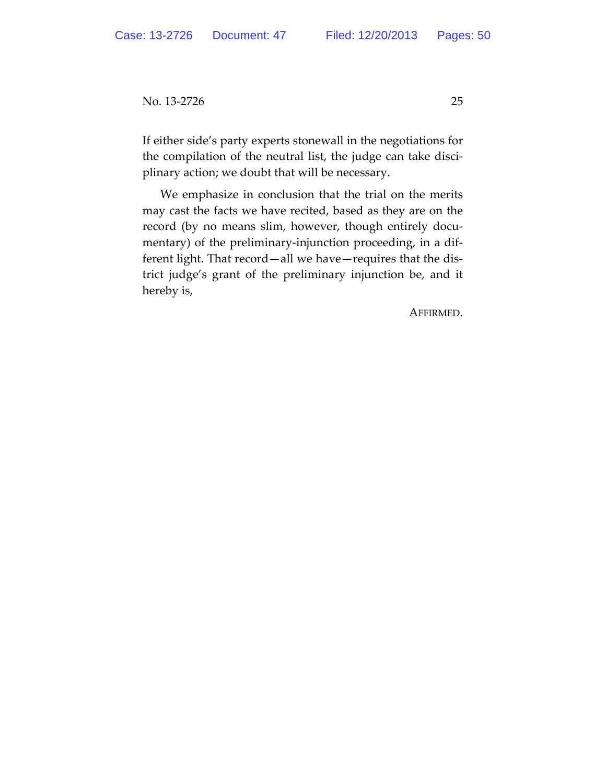If either side's party experts stonewall in the negotiations for the compilation of the neutral list, the judge can take disci‐ plinary action; we doubt that will be necessary.

We emphasize in conclusion that the trial on the merits may cast the facts we have recited, based as they are on the record (by no means slim, however, though entirely documentary) of the preliminary-injunction proceeding, in a different light. That record—all we have—requires that the dis‐ trict judge's grant of the preliminary injunction be, and it hereby is,

AFFIRMED.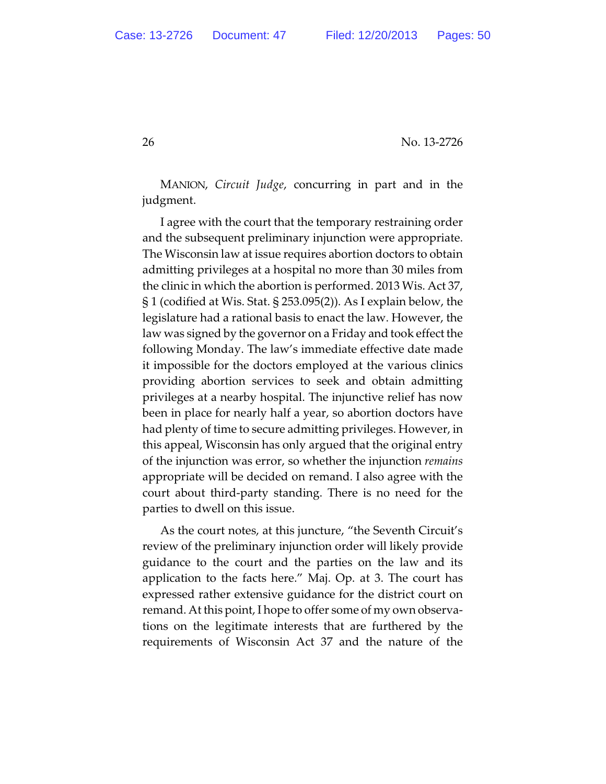MANION, *Circuit Judge*, concurring in part and in the judgment.

I agree with the court that the temporary restraining order and the subsequent preliminary injunction were appropriate. The Wisconsin law at issue requires abortion doctors to obtain admitting privileges at a hospital no more than 30 miles from the clinic in which the abortion is performed. 2013 Wis. Act 37, § 1 (codified at Wis. Stat. § 253.095(2)). As I explain below, the legislature had a rational basis to enact the law. However, the law was signed by the governor on a Friday and took effect the following Monday. The law's immediate effective date made it impossible for the doctors employed at the various clinics providing abortion services to seek and obtain admitting privileges at a nearby hospital. The injunctive relief has now been in place for nearly half a year, so abortion doctors have had plenty of time to secure admitting privileges. However, in this appeal, Wisconsin has only argued that the original entry of the injunction was error, so whether the injunction *remains* appropriate will be decided on remand. I also agree with the court about third-party standing. There is no need for the parties to dwell on this issue.

As the court notes, at this juncture, "the Seventh Circuit's review of the preliminary injunction order will likely provide guidance to the court and the parties on the law and its application to the facts here." Maj. Op. at 3. The court has expressed rather extensive guidance for the district court on remand. At this point, I hope to offer some of my own observations on the legitimate interests that are furthered by the requirements of Wisconsin Act 37 and the nature of the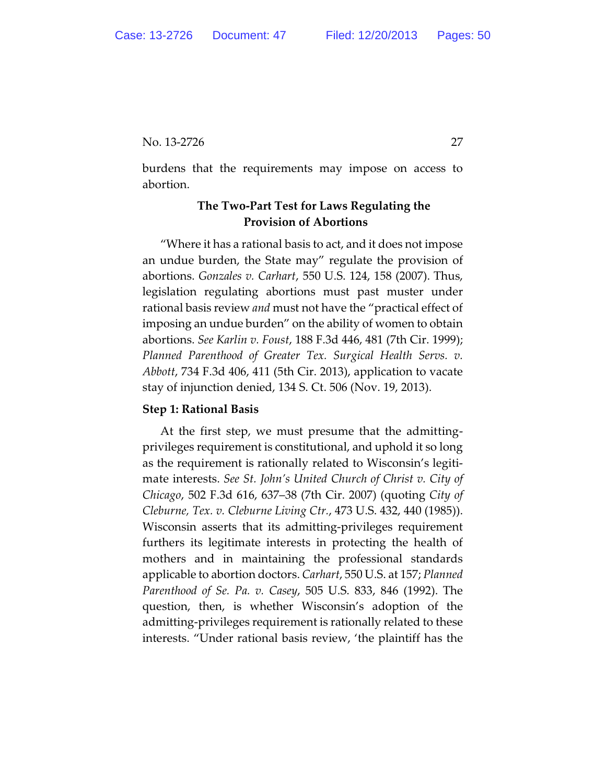burdens that the requirements may impose on access to abortion.

# **The Two-Part Test for Laws Regulating the Provision of Abortions**

"Where it has a rational basis to act, and it does not impose an undue burden, the State may" regulate the provision of abortions. *Gonzales v. Carhart*, 550 U.S. 124, 158 (2007). Thus, legislation regulating abortions must past muster under rational basis review *and* must not have the "practical effect of imposing an undue burden" on the ability of women to obtain abortions. *See Karlin v. Foust*, 188 F.3d 446, 481 (7th Cir. 1999); *Planned Parenthood of Greater Tex. Surgical Health Servs. v. Abbott*, 734 F.3d 406, 411 (5th Cir. 2013), application to vacate stay of injunction denied, 134 S. Ct. 506 (Nov. 19, 2013).

## **Step 1: Rational Basis**

At the first step, we must presume that the admittingprivileges requirement is constitutional, and uphold it so long as the requirement is rationally related to Wisconsin's legitimate interests. *See St. John's United Church of Christ v. City of Chicago*, 502 F.3d 616, 637–38 (7th Cir. 2007) (quoting *City of Cleburne, Tex. v. Cleburne Living Ctr.*, 473 U.S. 432, 440 (1985)). Wisconsin asserts that its admitting-privileges requirement furthers its legitimate interests in protecting the health of mothers and in maintaining the professional standards applicable to abortion doctors. *Carhart*, 550 U.S. at 157; *Planned Parenthood of Se. Pa. v. Casey*, 505 U.S. 833, 846 (1992). The question, then, is whether Wisconsin's adoption of the admitting-privileges requirement is rationally related to these interests. "Under rational basis review, 'the plaintiff has the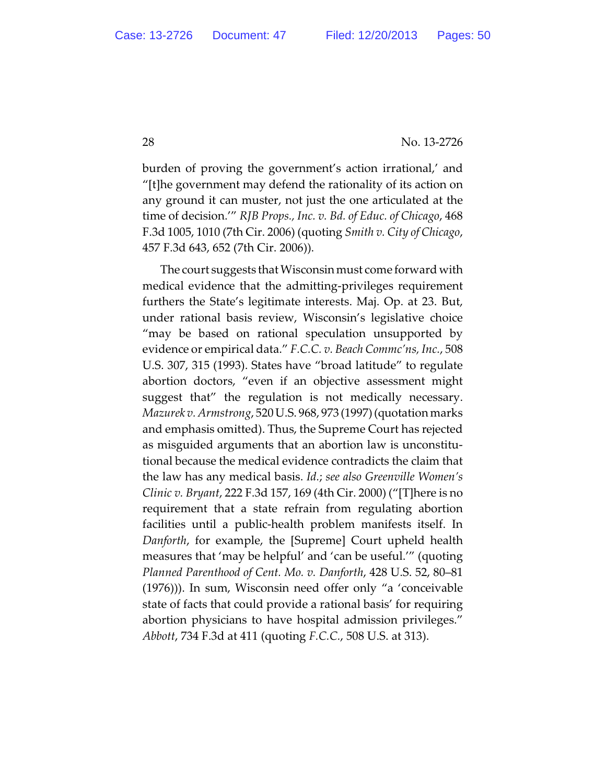burden of proving the government's action irrational,' and "[t]he government may defend the rationality of its action on any ground it can muster, not just the one articulated at the time of decision.'" *RJB Props., Inc. v. Bd. of Educ. of Chicago*, 468 F.3d 1005, 1010 (7th Cir. 2006) (quoting *Smith v. City of Chicago*, 457 F.3d 643, 652 (7th Cir. 2006)).

The court suggests that Wisconsin must come forward with medical evidence that the admitting-privileges requirement furthers the State's legitimate interests. Maj. Op. at 23. But, under rational basis review, Wisconsin's legislative choice "may be based on rational speculation unsupported by evidence or empirical data." *F.C.C. v. Beach Commc'ns, Inc.*, 508 U.S. 307, 315 (1993). States have "broad latitude" to regulate abortion doctors, "even if an objective assessment might suggest that" the regulation is not medically necessary. *Mazurek v. Armstrong*, 520 U.S. 968, 973 (1997) (quotation marks and emphasis omitted). Thus, the Supreme Court has rejected as misguided arguments that an abortion law is unconstitutional because the medical evidence contradicts the claim that the law has any medical basis. *Id.*; *see also Greenville Women's Clinic v. Bryant*, 222 F.3d 157, 169 (4th Cir. 2000) ("[T]here is no requirement that a state refrain from regulating abortion facilities until a public-health problem manifests itself. In *Danforth*, for example, the [Supreme] Court upheld health measures that 'may be helpful' and 'can be useful.'" (quoting *Planned Parenthood of Cent. Mo. v. Danforth*, 428 U.S. 52, 80–81 (1976))). In sum, Wisconsin need offer only "a 'conceivable state of facts that could provide a rational basis' for requiring abortion physicians to have hospital admission privileges." *Abbott*, 734 F.3d at 411 (quoting *F.C.C.*, 508 U.S. at 313).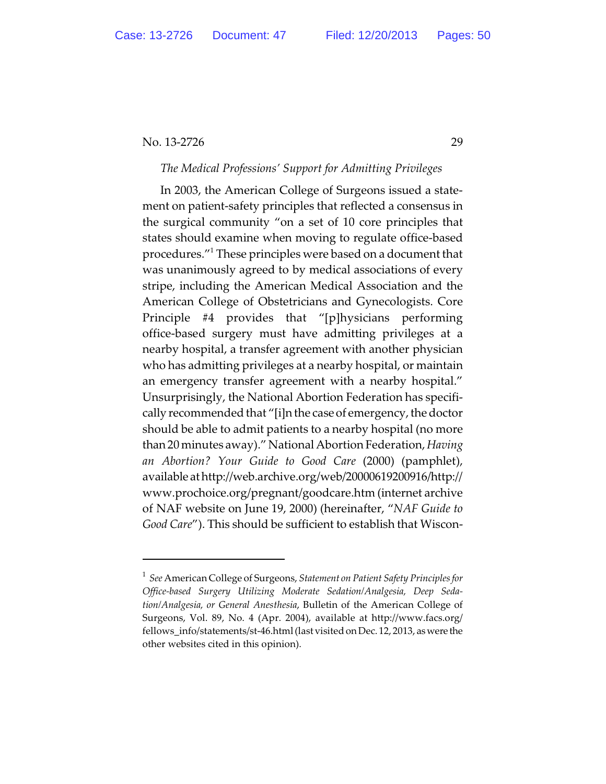# *The Medical Professions' Support for Admitting Privileges*

In 2003, the American College of Surgeons issued a statement on patient-safety principles that reflected a consensus in the surgical community "on a set of 10 core principles that states should examine when moving to regulate office-based procedures." These principles were based on a document that was unanimously agreed to by medical associations of every stripe, including the American Medical Association and the American College of Obstetricians and Gynecologists. Core Principle #4 provides that "[p]hysicians performing office-based surgery must have admitting privileges at a nearby hospital, a transfer agreement with another physician who has admitting privileges at a nearby hospital, or maintain an emergency transfer agreement with a nearby hospital." Unsurprisingly, the National Abortion Federation has specifically recommended that "[i]n the case of emergency, the doctor should be able to admit patients to a nearby hospital (no more than 20 minutes away)." National Abortion Federation, *Having an Abortion? Your Guide to Good Care* (2000) (pamphlet), available at http://web.archive.org/web/20000619200916/http:// www.prochoice.org/pregnant/goodcare.htm (internet archive of NAF website on June 19, 2000) (hereinafter, "*NAF Guide to Good Care*"). This should be sufficient to establish that Wiscon-

*See* American College of Surgeons, *Statement on Patient Safety Principles for* <sup>1</sup> *Office-based Surgery Utilizing Moderate Sedation/Analgesia, Deep Sedation/Analgesia, or General Anesthesia*, Bulletin of the American College of Surgeons, Vol. 89, No. 4 (Apr. 2004), available at http://www.facs.org/ fellows\_info/statements/st-46.html (last visited on Dec. 12, 2013, aswere the other websites cited in this opinion).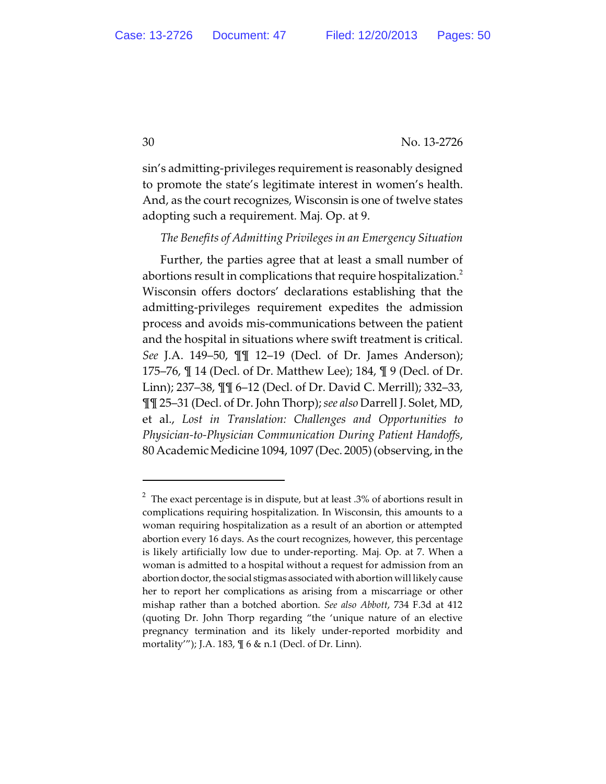sin's admitting-privileges requirement is reasonably designed to promote the state's legitimate interest in women's health. And, as the court recognizes, Wisconsin is one of twelve states adopting such a requirement. Maj. Op. at 9.

## *The Benefits of Admitting Privileges in an Emergency Situation*

Further, the parties agree that at least a small number of abortions result in complications that require hospitalization.<sup>2</sup> Wisconsin offers doctors' declarations establishing that the admitting-privileges requirement expedites the admission process and avoids mis-communications between the patient and the hospital in situations where swift treatment is critical. *See* J.A. 149–50, ¶¶ 12–19 (Decl. of Dr. James Anderson); 175–76, ¶ 14 (Decl. of Dr. Matthew Lee); 184, ¶ 9 (Decl. of Dr. Linn); 237–38, ¶¶ 6–12 (Decl. of Dr. David C. Merrill); 332–33, ¶¶ 25–31 (Decl. of Dr. John Thorp); *see also* Darrell J. Solet, MD, et al., *Lost in Translation: Challenges and Opportunities to Physician-to-Physician Communication During Patient Handoffs*, 80 Academic Medicine 1094, 1097 (Dec. 2005) (observing, in the

 $^2$  The exact percentage is in dispute, but at least .3% of abortions result in complications requiring hospitalization. In Wisconsin, this amounts to a woman requiring hospitalization as a result of an abortion or attempted abortion every 16 days. As the court recognizes, however, this percentage is likely artificially low due to under-reporting. Maj. Op. at 7. When a woman is admitted to a hospital without a request for admission from an abortion doctor, the social stigmas associated with abortion will likely cause her to report her complications as arising from a miscarriage or other mishap rather than a botched abortion. *See also Abbott*, 734 F.3d at 412 (quoting Dr. John Thorp regarding "the 'unique nature of an elective pregnancy termination and its likely under-reported morbidity and mortality'"); J.A. 183, ¶ 6 & n.1 (Decl. of Dr. Linn).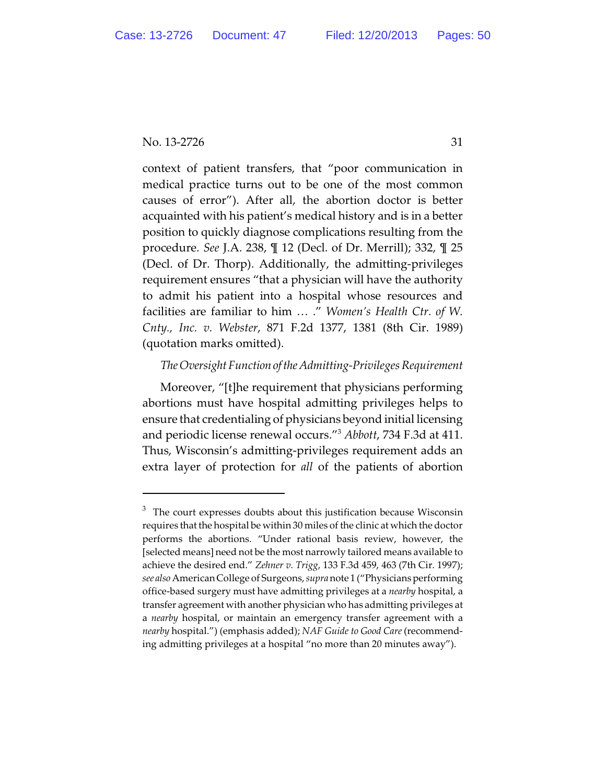context of patient transfers, that "poor communication in medical practice turns out to be one of the most common causes of error"). After all, the abortion doctor is better acquainted with his patient's medical history and is in a better position to quickly diagnose complications resulting from the procedure. *See* J.A. 238, ¶ 12 (Decl. of Dr. Merrill); 332, ¶ 25 (Decl. of Dr. Thorp). Additionally, the admitting-privileges requirement ensures "that a physician will have the authority to admit his patient into a hospital whose resources and facilities are familiar to him … ." *Women's Health Ctr. of W. Cnty., Inc. v. Webster*, 871 F.2d 1377, 1381 (8th Cir. 1989) (quotation marks omitted).

# *TheOversightFunction of theAdmitting-PrivilegesRequirement*

Moreover, "[t]he requirement that physicians performing abortions must have hospital admitting privileges helps to ensure that credentialing of physicians beyond initial licensing and periodic license renewal occurs."<sup>3</sup> Abbott, 734 F.3d at 411. Thus, Wisconsin's admitting-privileges requirement adds an extra layer of protection for *all* of the patients of abortion

 $3$  The court expresses doubts about this justification because Wisconsin requires that the hospital be within 30 miles of the clinic at which the doctor performs the abortions. "Under rational basis review, however, the [selected means] need not be the most narrowly tailored means available to achieve the desired end." *Zehner v. Trigg*, 133 F.3d 459, 463 (7th Cir. 1997); *see also*American College of Surgeons, *supra*note 1 ("Physiciansperforming office-based surgery must have admitting privileges at a *nearby* hospital, a transfer agreement with another physician who has admitting privileges at a *nearby* hospital, or maintain an emergency transfer agreement with a *nearby* hospital.") (emphasis added); *NAF Guide to Good Care*(recommending admitting privileges at a hospital "no more than 20 minutes away").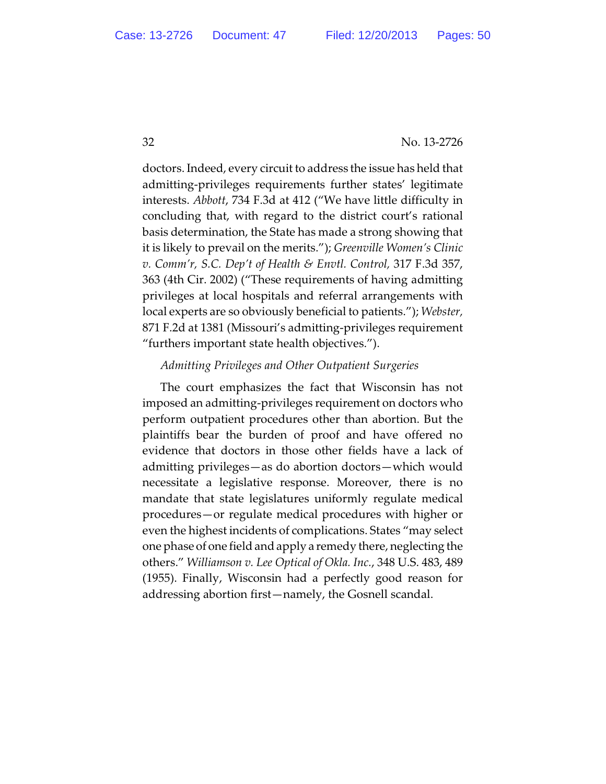doctors. Indeed, every circuit to address the issue has held that admitting-privileges requirements further states' legitimate interests. *Abbott*, 734 F.3d at 412 ("We have little difficulty in concluding that, with regard to the district court's rational basis determination, the State has made a strong showing that it is likely to prevail on the merits."); *Greenville Women's Clinic v. Comm'r, S.C. Dep't of Health & Envtl. Control,* 317 F.3d 357, 363 (4th Cir. 2002) ("These requirements of having admitting privileges at local hospitals and referral arrangements with local experts are so obviously beneficial to patients."); *Webster,* 871 F.2d at 1381 (Missouri's admitting-privileges requirement "furthers important state health objectives.").

# *Admitting Privileges and Other Outpatient Surgeries*

The court emphasizes the fact that Wisconsin has not imposed an admitting-privileges requirement on doctors who perform outpatient procedures other than abortion. But the plaintiffs bear the burden of proof and have offered no evidence that doctors in those other fields have a lack of admitting privileges—as do abortion doctors—which would necessitate a legislative response. Moreover, there is no mandate that state legislatures uniformly regulate medical procedures—or regulate medical procedures with higher or even the highest incidents of complications. States "may select one phase of one field and apply a remedy there, neglecting the others." *Williamson v. Lee Optical of Okla. Inc.*, 348 U.S. 483, 489 (1955). Finally, Wisconsin had a perfectly good reason for addressing abortion first—namely, the Gosnell scandal.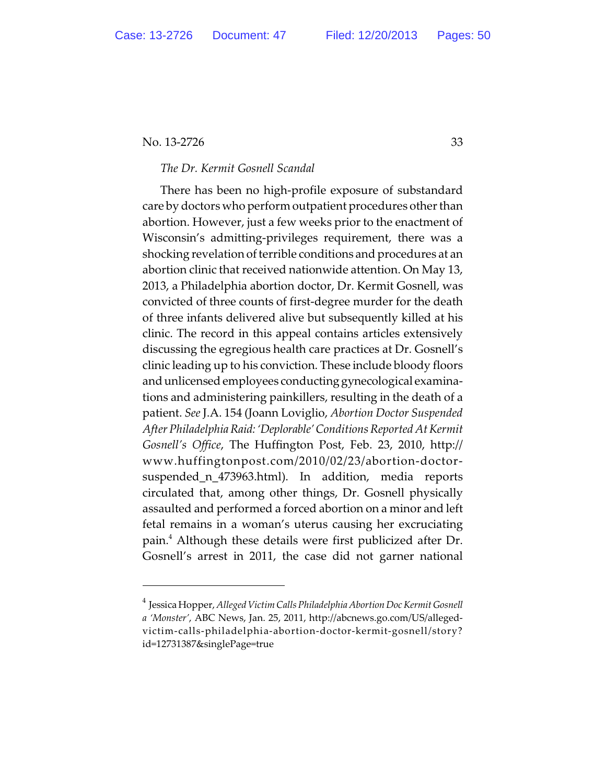# *The Dr. Kermit Gosnell Scandal*

There has been no high-profile exposure of substandard care by doctors who perform outpatient procedures other than abortion. However, just a few weeks prior to the enactment of Wisconsin's admitting-privileges requirement, there was a shocking revelation of terrible conditions and procedures at an abortion clinic that received nationwide attention. On May 13, 2013, a Philadelphia abortion doctor, Dr. Kermit Gosnell, was convicted of three counts of first-degree murder for the death of three infants delivered alive but subsequently killed at his clinic. The record in this appeal contains articles extensively discussing the egregious health care practices at Dr. Gosnell's clinic leading up to his conviction. These include bloody floors and unlicensed employees conducting gynecological examinations and administering painkillers, resulting in the death of a patient. *See* J.A. 154 (Joann Loviglio, *Abortion Doctor Suspended After Philadelphia Raid: 'Deplorable' Conditions Reported At Kermit Gosnell's Office*, The Huffington Post, Feb. 23, 2010, http:// www.huffingtonpost.com/2010/02/23/abortion-doctorsuspended\_n\_473963.html). In addition, media reports circulated that, among other things, Dr. Gosnell physically assaulted and performed a forced abortion on a minor and left fetal remains in a woman's uterus causing her excruciating pain.<sup>4</sup> Although these details were first publicized after Dr. Gosnell's arrest in 2011, the case did not garner national

<sup>&</sup>lt;sup>4</sup> Jessica Hopper, Alleged Victim Calls Philadelphia Abortion Doc Kermit Gosnell *a 'Monster'*, ABC News, Jan. 25, 2011, http://abcnews.go.com/US/allegedvictim-calls-philadelphia-abortion-doctor-kermit-gosnell/story? id=12731387&singlePage=true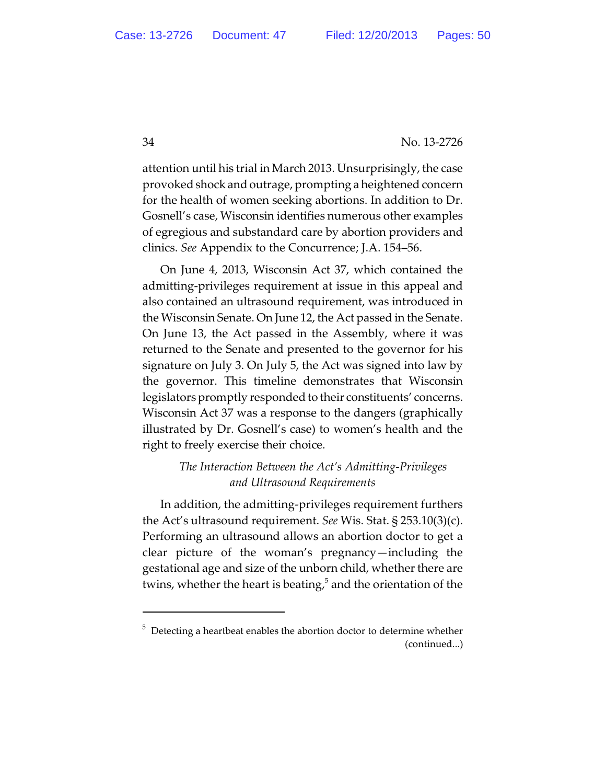attention until his trial in March 2013. Unsurprisingly, the case provoked shock and outrage, prompting a heightened concern for the health of women seeking abortions. In addition to Dr. Gosnell's case, Wisconsin identifies numerous other examples of egregious and substandard care by abortion providers and clinics. *See* Appendix to the Concurrence; J.A. 154–56.

On June 4, 2013, Wisconsin Act 37, which contained the admitting-privileges requirement at issue in this appeal and also contained an ultrasound requirement, was introduced in the Wisconsin Senate. On June 12, the Act passed in the Senate. On June 13, the Act passed in the Assembly, where it was returned to the Senate and presented to the governor for his signature on July 3. On July 5, the Act was signed into law by the governor. This timeline demonstrates that Wisconsin legislators promptly responded to their constituents' concerns. Wisconsin Act 37 was a response to the dangers (graphically illustrated by Dr. Gosnell's case) to women's health and the right to freely exercise their choice.

# *The Interaction Between the Act's Admitting-Privileges and Ultrasound Requirements*

In addition, the admitting-privileges requirement furthers the Act's ultrasound requirement. *See* Wis. Stat. § 253.10(3)(c). Performing an ultrasound allows an abortion doctor to get a clear picture of the woman's pregnancy—including the gestational age and size of the unborn child, whether there are twins, whether the heart is beating, $5$  and the orientation of the

 $5$  Detecting a heartbeat enables the abortion doctor to determine whether (continued...)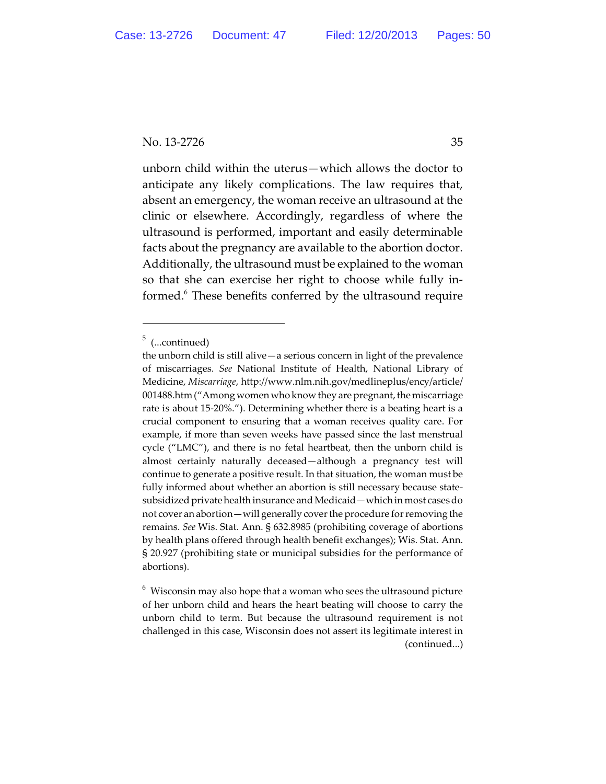unborn child within the uterus—which allows the doctor to anticipate any likely complications. The law requires that, absent an emergency, the woman receive an ultrasound at the clinic or elsewhere. Accordingly, regardless of where the ultrasound is performed, important and easily determinable facts about the pregnancy are available to the abortion doctor. Additionally, the ultrasound must be explained to the woman so that she can exercise her right to choose while fully informed.<sup>6</sup> These benefits conferred by the ultrasound require

 $5$  (...continued)

the unborn child is still alive—a serious concern in light of the prevalence of miscarriages. *See* National Institute of Health, National Library of Medicine, *Miscarriage*, http://www.nlm.nih.gov/medlineplus/ency/article/ 001488.htm ("Among women who know they are pregnant, the miscarriage rate is about 15-20%."). Determining whether there is a beating heart is a crucial component to ensuring that a woman receives quality care. For example, if more than seven weeks have passed since the last menstrual cycle ("LMC"), and there is no fetal heartbeat, then the unborn child is almost certainly naturally deceased—although a pregnancy test will continue to generate a positive result. In that situation, the woman must be fully informed about whether an abortion is still necessary because statesubsidized private health insurance and Medicaid—which in most cases do not cover an abortion—will generally cover the procedure for removing the remains. *See* Wis. Stat. Ann. § 632.8985 (prohibiting coverage of abortions by health plans offered through health benefit exchanges); Wis. Stat. Ann. § 20.927 (prohibiting state or municipal subsidies for the performance of abortions).

 $6$  Wisconsin may also hope that a woman who sees the ultrasound picture of her unborn child and hears the heart beating will choose to carry the unborn child to term. But because the ultrasound requirement is not challenged in this case, Wisconsin does not assert its legitimate interest in (continued...)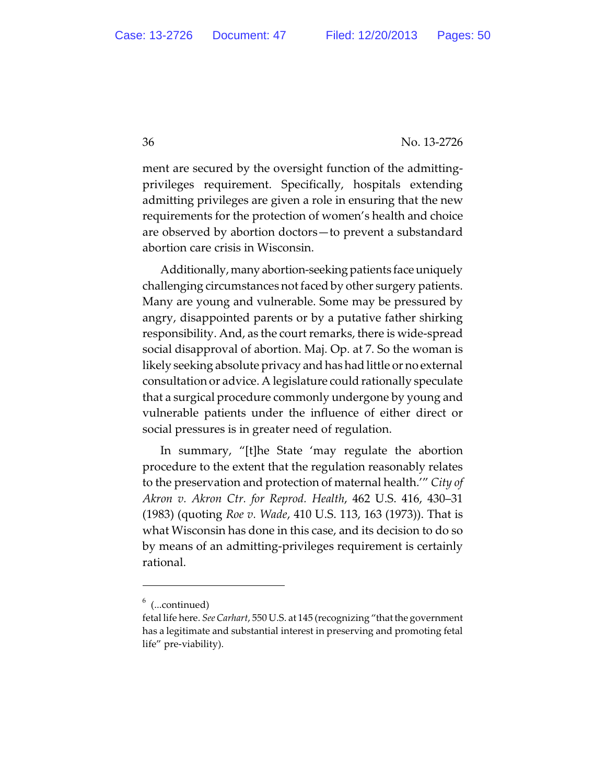ment are secured by the oversight function of the admittingprivileges requirement. Specifically, hospitals extending admitting privileges are given a role in ensuring that the new requirements for the protection of women's health and choice are observed by abortion doctors—to prevent a substandard abortion care crisis in Wisconsin.

Additionally,many abortion-seeking patients face uniquely challenging circumstances not faced by other surgery patients. Many are young and vulnerable. Some may be pressured by angry, disappointed parents or by a putative father shirking responsibility. And, as the court remarks, there is wide-spread social disapproval of abortion. Maj. Op. at 7. So the woman is likely seeking absolute privacy and has had little or no external consultation or advice. A legislature could rationally speculate that a surgical procedure commonly undergone by young and vulnerable patients under the influence of either direct or social pressures is in greater need of regulation.

In summary, "[t]he State 'may regulate the abortion procedure to the extent that the regulation reasonably relates to the preservation and protection of maternal health.'" *City of Akron v. Akron Ctr. for Reprod. Health*, 462 U.S. 416, 430–31 (1983) (quoting *Roe v. Wade*, 410 U.S. 113, 163 (1973)). That is what Wisconsin has done in this case, and its decision to do so by means of an admitting-privileges requirement is certainly rational.

 $6$  (...continued)

fetal life here. *SeeCarhart*, 550 U.S. at 145 (recognizing "that the government has a legitimate and substantial interest in preserving and promoting fetal life" pre-viability).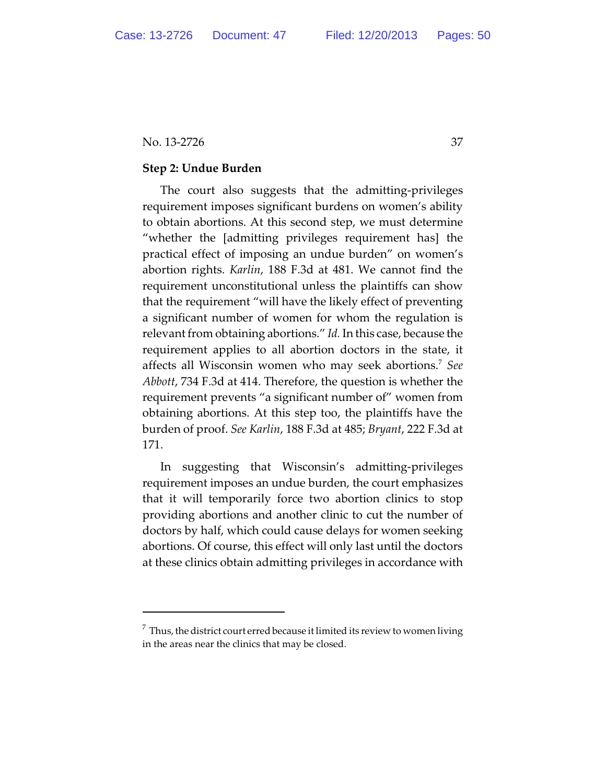#### **Step 2: Undue Burden**

The court also suggests that the admitting-privileges requirement imposes significant burdens on women's ability to obtain abortions. At this second step, we must determine "whether the [admitting privileges requirement has] the practical effect of imposing an undue burden" on women's abortion rights. *Karlin*, 188 F.3d at 481. We cannot find the requirement unconstitutional unless the plaintiffs can show that the requirement "will have the likely effect of preventing a significant number of women for whom the regulation is relevant from obtaining abortions." *Id.*In this case, because the requirement applies to all abortion doctors in the state, it affects all Wisconsin women who may seek abortions.<sup>7</sup> See *Abbott*, 734 F.3d at 414. Therefore, the question is whether the requirement prevents "a significant number of" women from obtaining abortions. At this step too, the plaintiffs have the burden of proof. *See Karlin*, 188 F.3d at 485; *Bryant*, 222 F.3d at 171.

In suggesting that Wisconsin's admitting-privileges requirement imposes an undue burden, the court emphasizes that it will temporarily force two abortion clinics to stop providing abortions and another clinic to cut the number of doctors by half, which could cause delays for women seeking abortions. Of course, this effect will only last until the doctors at these clinics obtain admitting privileges in accordance with

 $^7\,$  Thus, the district court erred because it limited its review to women living in the areas near the clinics that may be closed.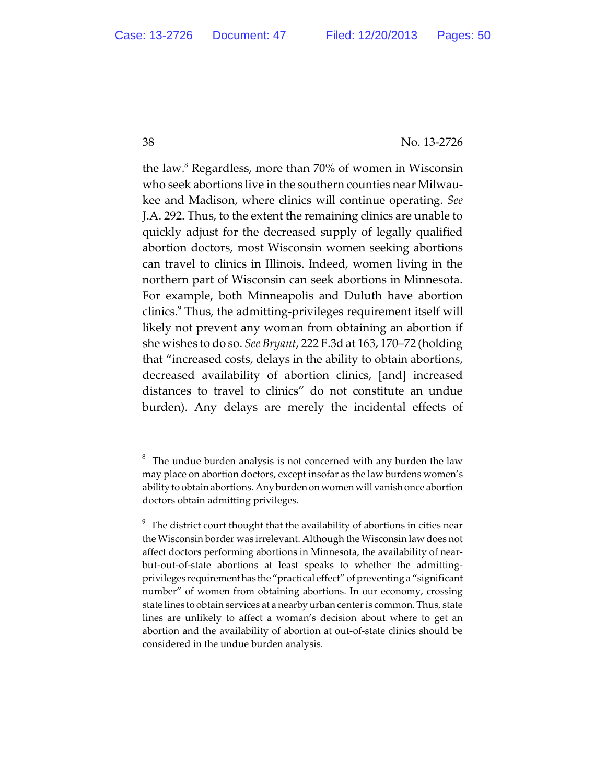the law. $^8$  Regardless, more than 70% of women in Wisconsin who seek abortions live in the southern counties near Milwaukee and Madison, where clinics will continue operating. *See* J.A. 292. Thus, to the extent the remaining clinics are unable to quickly adjust for the decreased supply of legally qualified abortion doctors, most Wisconsin women seeking abortions can travel to clinics in Illinois. Indeed, women living in the northern part of Wisconsin can seek abortions in Minnesota. For example, both Minneapolis and Duluth have abortion clinics. $^9$  Thus, the admitting-privileges requirement itself will likely not prevent any woman from obtaining an abortion if she wishes to do so. *See Bryant*, 222 F.3d at 163, 170–72 (holding that "increased costs, delays in the ability to obtain abortions, decreased availability of abortion clinics, [and] increased distances to travel to clinics" do not constitute an undue burden). Any delays are merely the incidental effects of

 $8<sup>8</sup>$  The undue burden analysis is not concerned with any burden the law may place on abortion doctors, except insofar as the law burdens women's ability to obtain abortions. Any burden on women will vanish once abortion doctors obtain admitting privileges.

 $^{9}$  The district court thought that the availability of abortions in cities near the Wisconsin border was irrelevant. Although the Wisconsin law does not affect doctors performing abortions in Minnesota, the availability of nearbut-out-of-state abortions at least speaks to whether the admittingprivileges requirementhas the "practical effect" of preventing a "significant number" of women from obtaining abortions. In our economy, crossing state lines to obtain services at a nearby urban center is common. Thus, state lines are unlikely to affect a woman's decision about where to get an abortion and the availability of abortion at out-of-state clinics should be considered in the undue burden analysis.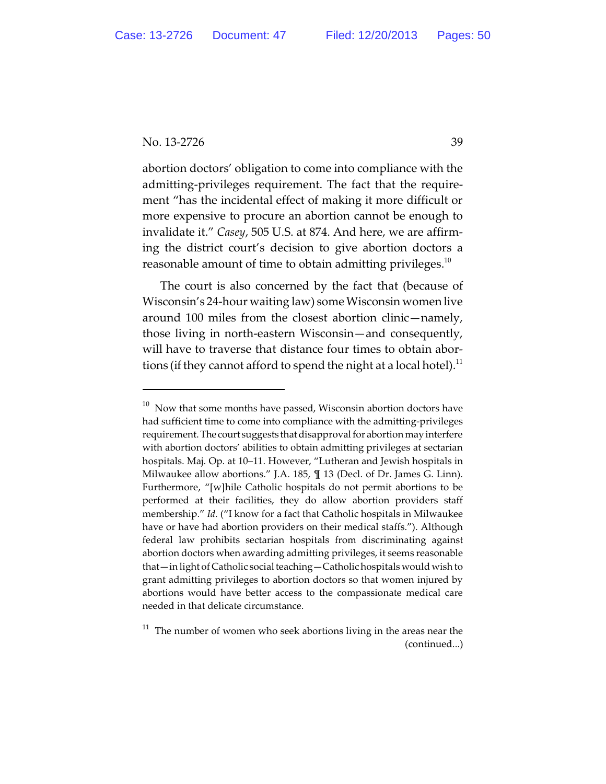abortion doctors' obligation to come into compliance with the admitting-privileges requirement. The fact that the requirement "has the incidental effect of making it more difficult or more expensive to procure an abortion cannot be enough to invalidate it." *Casey*, 505 U.S. at 874. And here, we are affirming the district court's decision to give abortion doctors a reasonable amount of time to obtain admitting privileges. $10$ 

The court is also concerned by the fact that (because of Wisconsin's 24-hour waiting law) some Wisconsin women live around 100 miles from the closest abortion clinic—namely, those living in north-eastern Wisconsin—and consequently, will have to traverse that distance four times to obtain abortions (if they cannot afford to spend the night at a local hotel).<sup>11</sup>

 $^{10}$  Now that some months have passed, Wisconsin abortion doctors have had sufficient time to come into compliance with the admitting-privileges requirement. The court suggests that disapproval for abortion may interfere with abortion doctors' abilities to obtain admitting privileges at sectarian hospitals. Maj. Op. at 10–11. However, "Lutheran and Jewish hospitals in Milwaukee allow abortions." J.A. 185, ¶ 13 (Decl. of Dr. James G. Linn). Furthermore, "[w]hile Catholic hospitals do not permit abortions to be performed at their facilities, they do allow abortion providers staff membership." *Id.* ("I know for a fact that Catholic hospitals in Milwaukee have or have had abortion providers on their medical staffs."). Although federal law prohibits sectarian hospitals from discriminating against abortion doctors when awarding admitting privileges, it seems reasonable that—in light of Catholic social teaching—Catholic hospitals would wish to grant admitting privileges to abortion doctors so that women injured by abortions would have better access to the compassionate medical care needed in that delicate circumstance.

 $11$  The number of women who seek abortions living in the areas near the (continued...)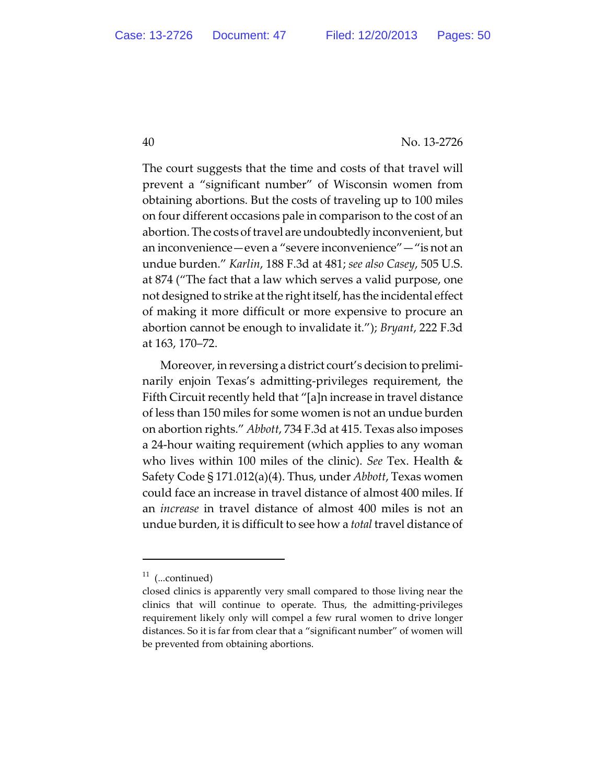The court suggests that the time and costs of that travel will prevent a "significant number" of Wisconsin women from obtaining abortions. But the costs of traveling up to 100 miles on four different occasions pale in comparison to the cost of an abortion. The costs of travel are undoubtedly inconvenient, but an inconvenience—even a "severe inconvenience"—"is not an undue burden." *Karlin*, 188 F.3d at 481; *see also Casey*, 505 U.S. at 874 ("The fact that a law which serves a valid purpose, one not designed to strike at the right itself, has the incidental effect of making it more difficult or more expensive to procure an abortion cannot be enough to invalidate it."); *Bryant*, 222 F.3d at 163, 170–72.

Moreover, in reversing a district court's decision to preliminarily enjoin Texas's admitting-privileges requirement, the Fifth Circuit recently held that "[a]n increase in travel distance of less than 150 miles for some women is not an undue burden on abortion rights." *Abbott*, 734 F.3d at 415. Texas also imposes a 24-hour waiting requirement (which applies to any woman who lives within 100 miles of the clinic). *See* Tex. Health & Safety Code § 171.012(a)(4). Thus, under *Abbott*, Texas women could face an increase in travel distance of almost 400 miles. If an *increase* in travel distance of almost 400 miles is not an undue burden, it is difficult to see how a *total* travel distance of

 $11$  (...continued)

closed clinics is apparently very small compared to those living near the clinics that will continue to operate. Thus, the admitting-privileges requirement likely only will compel a few rural women to drive longer distances. So it is far from clear that a "significant number" of women will be prevented from obtaining abortions.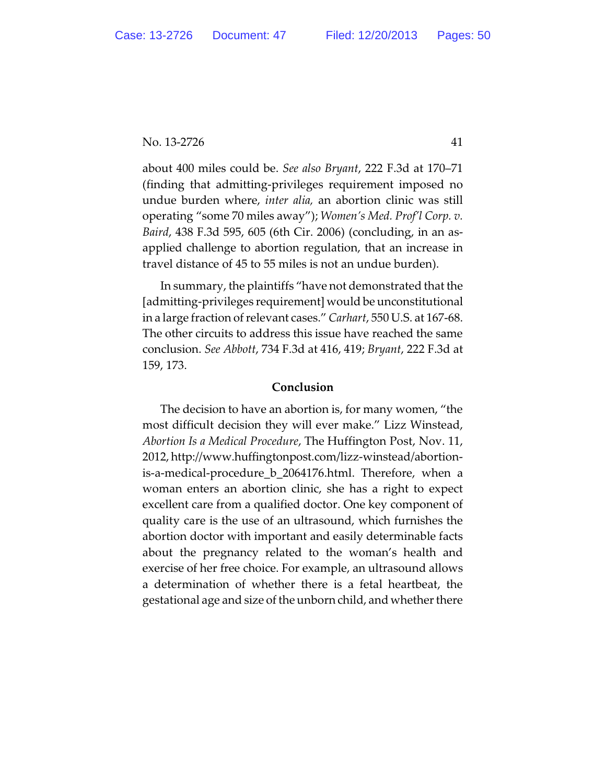about 400 miles could be. *See also Bryant*, 222 F.3d at 170–71 (finding that admitting-privileges requirement imposed no undue burden where, *inter alia,* an abortion clinic was still operating "some 70 miles away"); *Women's Med. Prof'l Corp. v. Baird*, 438 F.3d 595, 605 (6th Cir. 2006) (concluding, in an asapplied challenge to abortion regulation, that an increase in travel distance of 45 to 55 miles is not an undue burden).

In summary, the plaintiffs "have not demonstrated that the [admitting-privileges requirement] would be unconstitutional in a large fraction of relevant cases." *Carhart*, 550 U.S. at 167-68. The other circuits to address this issue have reached the same conclusion. *See Abbott*, 734 F.3d at 416, 419; *Bryant*, 222 F.3d at 159, 173.

## **Conclusion**

The decision to have an abortion is, for many women, "the most difficult decision they will ever make." Lizz Winstead, *Abortion Is a Medical Procedure*, The Huffington Post, Nov. 11, 2012, http://www.huffingtonpost.com/lizz-winstead/abortionis-a-medical-procedure\_b\_2064176.html. Therefore, when a woman enters an abortion clinic, she has a right to expect excellent care from a qualified doctor. One key component of quality care is the use of an ultrasound, which furnishes the abortion doctor with important and easily determinable facts about the pregnancy related to the woman's health and exercise of her free choice. For example, an ultrasound allows a determination of whether there is a fetal heartbeat, the gestational age and size of the unborn child, and whether there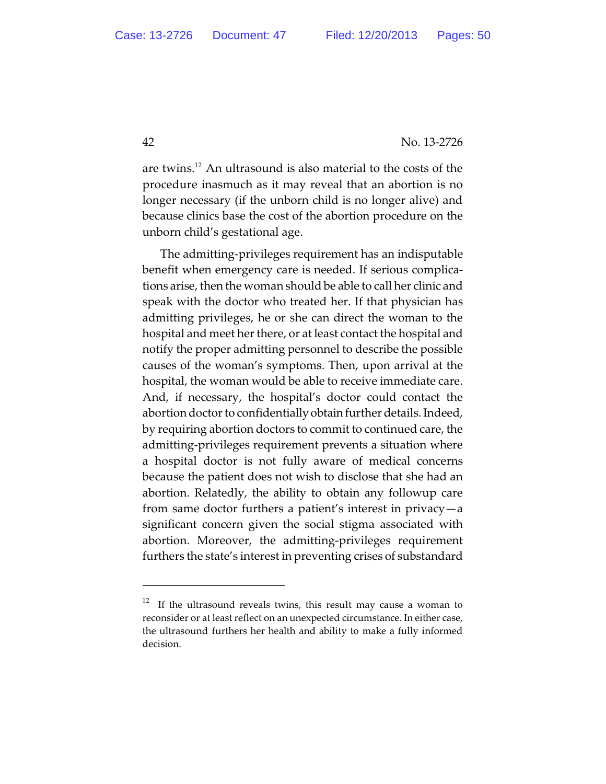are twins.<sup>12</sup> An ultrasound is also material to the costs of the procedure inasmuch as it may reveal that an abortion is no longer necessary (if the unborn child is no longer alive) and because clinics base the cost of the abortion procedure on the unborn child's gestational age.

The admitting-privileges requirement has an indisputable benefit when emergency care is needed. If serious complications arise, then the woman should be able to call her clinic and speak with the doctor who treated her. If that physician has admitting privileges, he or she can direct the woman to the hospital and meet her there, or at least contact the hospital and notify the proper admitting personnel to describe the possible causes of the woman's symptoms. Then, upon arrival at the hospital, the woman would be able to receive immediate care. And, if necessary, the hospital's doctor could contact the abortion doctor to confidentially obtain further details. Indeed, by requiring abortion doctors to commit to continued care, the admitting-privileges requirement prevents a situation where a hospital doctor is not fully aware of medical concerns because the patient does not wish to disclose that she had an abortion. Relatedly, the ability to obtain any followup care from same doctor furthers a patient's interest in privacy—a significant concern given the social stigma associated with abortion. Moreover, the admitting-privileges requirement furthers the state's interest in preventing crises of substandard

 $12$  If the ultrasound reveals twins, this result may cause a woman to reconsider or at least reflect on an unexpected circumstance. In either case, the ultrasound furthers her health and ability to make a fully informed decision.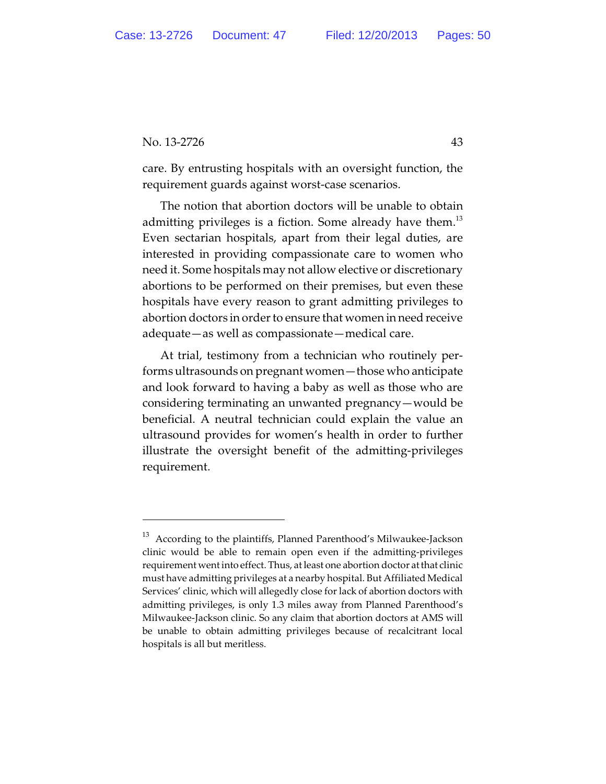care. By entrusting hospitals with an oversight function, the requirement guards against worst-case scenarios.

The notion that abortion doctors will be unable to obtain admitting privileges is a fiction. Some already have them.<sup>13</sup> Even sectarian hospitals, apart from their legal duties, are interested in providing compassionate care to women who need it. Some hospitals may not allow elective or discretionary abortions to be performed on their premises, but even these hospitals have every reason to grant admitting privileges to abortion doctors in order to ensure that women in need receive adequate—as well as compassionate—medical care.

At trial, testimony from a technician who routinely performs ultrasounds on pregnant women—those who anticipate and look forward to having a baby as well as those who are considering terminating an unwanted pregnancy—would be beneficial. A neutral technician could explain the value an ultrasound provides for women's health in order to further illustrate the oversight benefit of the admitting-privileges requirement.

 $^{13}\,$  According to the plaintiffs, Planned Parenthood's Milwaukee-Jackson clinic would be able to remain open even if the admitting-privileges requirement went into effect. Thus, at least one abortion doctor at that clinic must have admitting privileges at a nearby hospital. But Affiliated Medical Services' clinic, which will allegedly close for lack of abortion doctors with admitting privileges, is only 1.3 miles away from Planned Parenthood's Milwaukee-Jackson clinic. So any claim that abortion doctors at AMS will be unable to obtain admitting privileges because of recalcitrant local hospitals is all but meritless.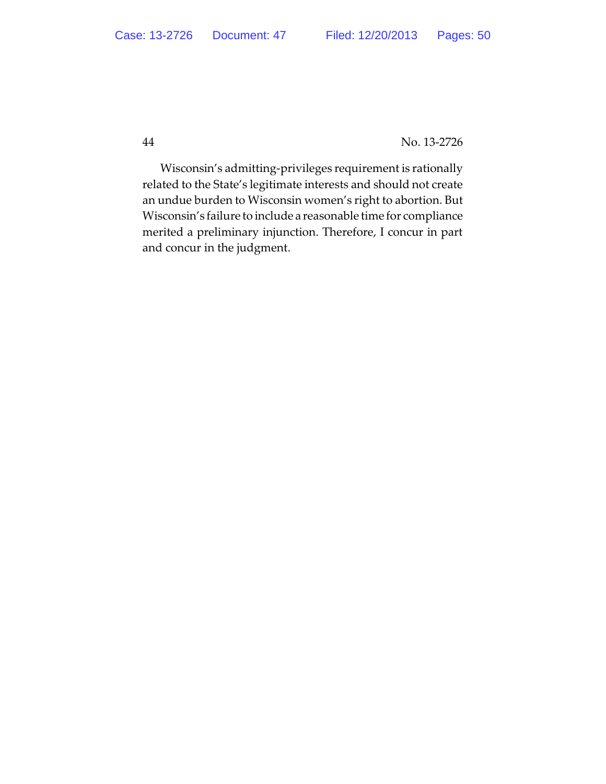Wisconsin's admitting-privileges requirement is rationally related to the State's legitimate interests and should not create an undue burden to Wisconsin women's right to abortion. But Wisconsin's failure to include a reasonable time for compliance merited a preliminary injunction. Therefore, I concur in part and concur in the judgment.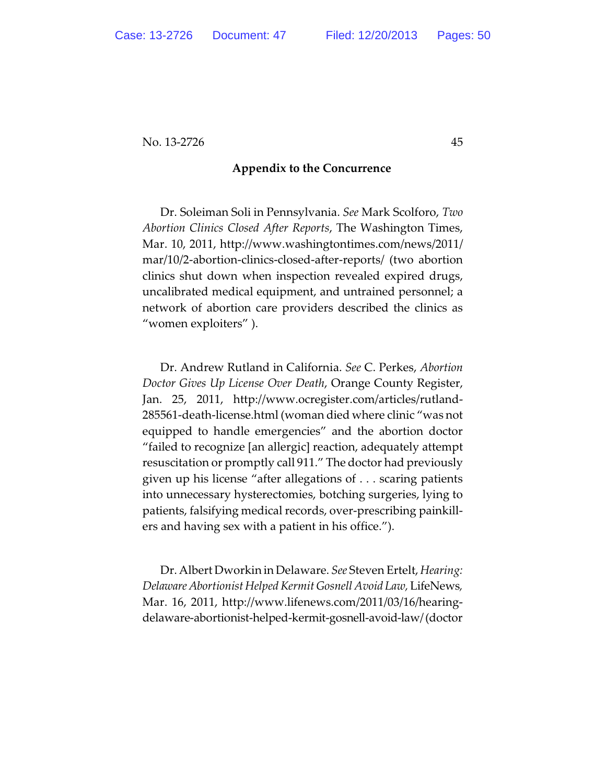#### **Appendix to the Concurrence**

Dr. Soleiman Soli in Pennsylvania. *See* Mark Scolforo, *Two Abortion Clinics Closed After Reports*, The Washington Times, Mar. 10, 2011, http://www.washingtontimes.com/news/2011/ mar/10/2-abortion-clinics-closed-after-reports/ (two abortion clinics shut down when inspection revealed expired drugs, uncalibrated medical equipment, and untrained personnel; a network of abortion care providers described the clinics as "women exploiters" ).

Dr. Andrew Rutland in California. *See* C. Perkes, *Abortion Doctor Gives Up License Over Death*, Orange County Register, Jan. 25, 2011, http://www.ocregister.com/articles/rutland-285561-death-license.html (woman died where clinic "was not equipped to handle emergencies" and the abortion doctor "failed to recognize [an allergic] reaction, adequately attempt resuscitation or promptly call 911." The doctor had previously given up his license "after allegations of . . . scaring patients into unnecessary hysterectomies, botching surgeries, lying to patients, falsifying medical records, over-prescribing painkillers and having sex with a patient in his office.").

Dr. Albert Dworkin in Delaware. *See* Steven Ertelt, *Hearing: DelawareAbortionist Helped Kermit Gosnell Avoid Law,* LifeNews*,* Mar. 16, 2011, http://www.lifenews.com/2011/03/16/hearingdelaware-abortionist-helped-kermit-gosnell-avoid-law/(doctor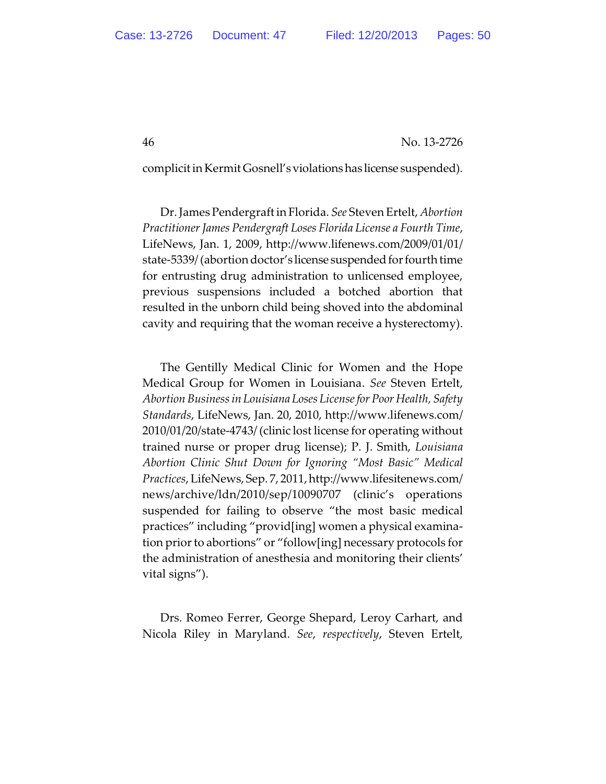complicit in Kermit Gosnell'sviolationshas license suspended).

Dr. JamesPendergraft in Florida. *See* Steven Ertelt, *Abortion Practitioner James Pendergraft Loses Florida License a Fourth Time*, LifeNews, Jan. 1, 2009, http://www.lifenews.com/2009/01/01/ state-5339/ (abortion doctor's license suspended for fourth time for entrusting drug administration to unlicensed employee, previous suspensions included a botched abortion that resulted in the unborn child being shoved into the abdominal cavity and requiring that the woman receive a hysterectomy).

The Gentilly Medical Clinic for Women and the Hope Medical Group for Women in Louisiana. *See* Steven Ertelt, *Abortion Business in Louisiana Loses License for Poor Health, Safety Standards*, LifeNews, Jan. 20, 2010, http://www.lifenews.com/ 2010/01/20/state-4743/ (clinic lost license for operating without trained nurse or proper drug license); P. J. Smith, *Louisiana Abortion Clinic Shut Down for Ignoring "Most Basic" Medical Practices*, LifeNews, Sep. 7, 2011,http://www.lifesitenews.com/ news/archive/ldn/2010/sep/10090707 (clinic's operations suspended for failing to observe "the most basic medical practices" including "provid[ing] women a physical examination prior to abortions" or "follow[ing] necessary protocols for the administration of anesthesia and monitoring their clients' vital signs").

Drs. Romeo Ferrer, George Shepard, Leroy Carhart, and Nicola Riley in Maryland. *See*, *respectively*, Steven Ertelt,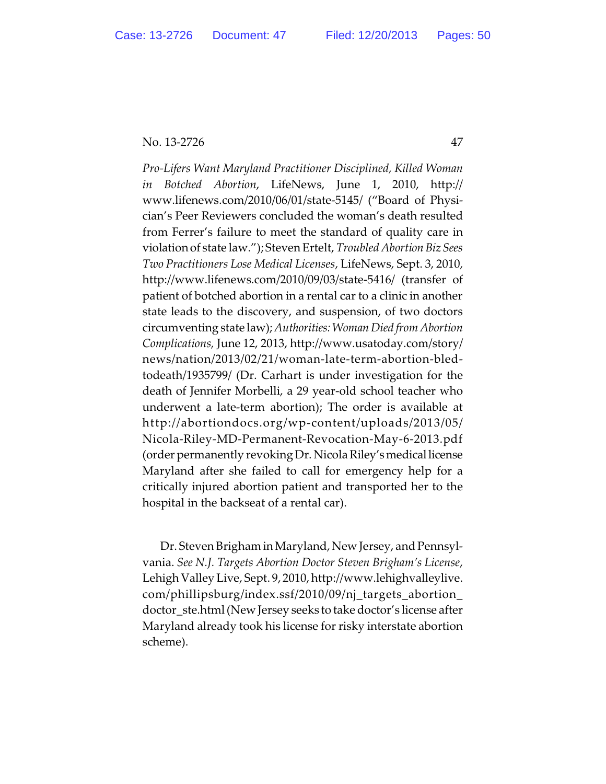*Pro-Lifers Want Maryland Practitioner Disciplined, Killed Woman in Botched Abortion*, LifeNews, June 1, 2010, http:// www.lifenews.com/2010/06/01/state-5145/ ("Board of Physician's Peer Reviewers concluded the woman's death resulted from Ferrer's failure to meet the standard of quality care in violation of state law."); Steven Ertelt, *Troubled Abortion BizSees Two Practitioners Lose Medical Licenses*, LifeNews, Sept. 3, 2010, http://www.lifenews.com/2010/09/03/state-5416/ (transfer of patient of botched abortion in a rental car to a clinic in another state leads to the discovery, and suspension, of two doctors circumventing state law);*Authorities:Woman Died from Abortion Complications,* June 12, 2013, http://www.usatoday.com/story/ news/nation/2013/02/21/woman-late-term-abortion-bledtodeath/1935799/ (Dr. Carhart is under investigation for the death of Jennifer Morbelli, a 29 year-old school teacher who underwent a late-term abortion); The order is available at http://abortiondocs.org/wp-content/uploads/2013/05/ Nicola-Riley-MD-Permanent-Revocation-May-6-2013.pdf (order permanently revoking Dr. Nicola Riley'smedicallicense Maryland after she failed to call for emergency help for a critically injured abortion patient and transported her to the hospital in the backseat of a rental car).

Dr. Steven Brigham in Maryland, New Jersey, and Pennsylvania. *See N.J. Targets Abortion Doctor Steven Brigham's License*, Lehigh Valley Live, Sept. 9, 2010, http://www.lehighvalleylive. com/phillipsburg/index.ssf/2010/09/nj\_targets\_abortion\_ doctor\_ste.html (New Jersey seeks to take doctor's license after Maryland already took his license for risky interstate abortion scheme).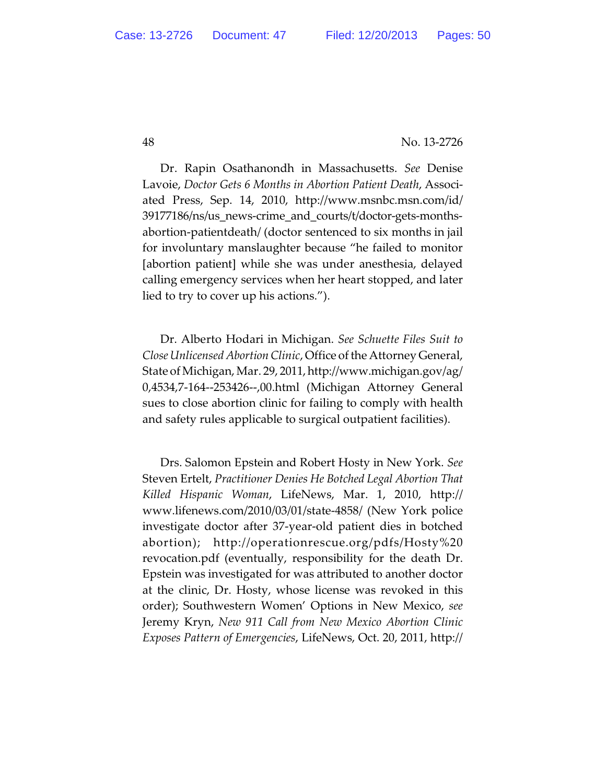Dr. Rapin Osathanondh in Massachusetts. *See* Denise Lavoie, *Doctor Gets 6 Months in Abortion Patient Death*, Associated Press, Sep. 14, 2010, http://www.msnbc.msn.com/id/ 39177186/ns/us\_news-crime\_and\_courts/t/doctor-gets-monthsabortion-patientdeath/ (doctor sentenced to six months in jail for involuntary manslaughter because "he failed to monitor [abortion patient] while she was under anesthesia, delayed calling emergency services when her heart stopped, and later lied to try to cover up his actions.").

Dr. Alberto Hodari in Michigan. *See Schuette Files Suit to Close Unlicensed Abortion Clinic*, Office of the Attorney General, State of Michigan, Mar. 29, 2011, http://www.michigan.gov/ag/ 0,4534,7-164--253426--,00.html (Michigan Attorney General sues to close abortion clinic for failing to comply with health and safety rules applicable to surgical outpatient facilities).

Drs. Salomon Epstein and Robert Hosty in New York. *See* Steven Ertelt, *Practitioner Denies He Botched Legal Abortion That Killed Hispanic Woman*, LifeNews, Mar. 1, 2010, http:// www.lifenews.com/2010/03/01/state-4858/ (New York police investigate doctor after 37-year-old patient dies in botched abortion); http://operationrescue.org/pdfs/Hosty%20 revocation.pdf (eventually, responsibility for the death Dr. Epstein was investigated for was attributed to another doctor at the clinic, Dr. Hosty, whose license was revoked in this order); Southwestern Women' Options in New Mexico, *see* Jeremy Kryn, *New 911 Call from New Mexico Abortion Clinic Exposes Pattern of Emergencies*, LifeNews, Oct. 20, 2011, http://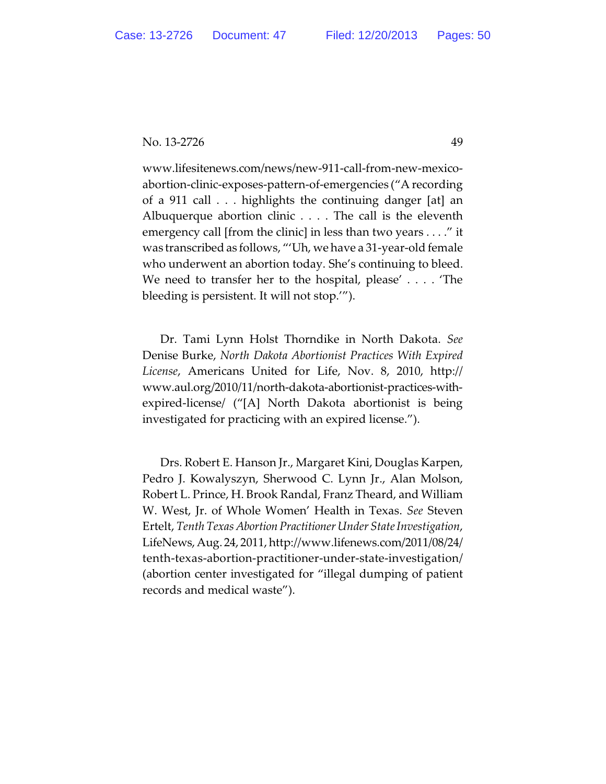www.lifesitenews.com/news/new-911-call-from-new-mexicoabortion-clinic-exposes-pattern-of-emergencies ("A recording of a 911 call . . . highlights the continuing danger [at] an Albuquerque abortion clinic . . . . The call is the eleventh emergency call [from the clinic] in less than two years . . . ." it was transcribed as follows, "'Uh, we have a 31-year-old female who underwent an abortion today. She's continuing to bleed. We need to transfer her to the hospital, please' . . . . 'The bleeding is persistent. It will not stop.'").

Dr. Tami Lynn Holst Thorndike in North Dakota. *See* Denise Burke, *North Dakota Abortionist Practices With Expired License*, Americans United for Life, Nov. 8, 2010, http:// www.aul.org/2010/11/north-dakota-abortionist-practices-withexpired-license/ ("[A] North Dakota abortionist is being investigated for practicing with an expired license.").

Drs. Robert E. Hanson Jr., Margaret Kini, Douglas Karpen, Pedro J. Kowalyszyn, Sherwood C. Lynn Jr., Alan Molson, Robert L. Prince, H. Brook Randal, Franz Theard, and William W. West, Jr. of Whole Women' Health in Texas. *See* Steven Ertelt, *Tenth Texas Abortion Practitioner Under State Investigation*, LifeNews,Aug. 24, 2011, http://www.lifenews.com/2011/08/24/ tenth-texas-abortion-practitioner-under-state-investigation/ (abortion center investigated for "illegal dumping of patient records and medical waste").